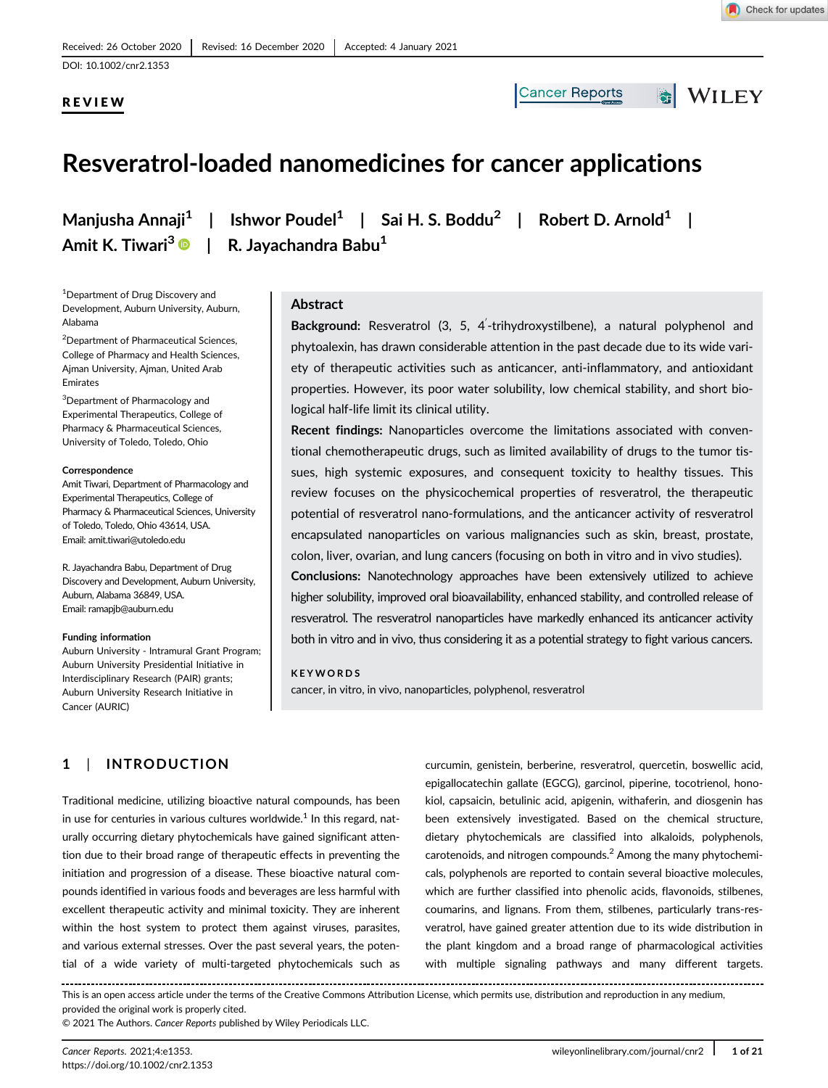DOI: 10.1002/cnr2.1353

REVIEW

Alabama

Emirates

**Correspondence** 

**Cancer Reports** 

WILEY

# Resveratrol-loaded nanomedicines for cancer applications

Amit K. Tiwari<sup>3</sup> <sup>D</sup> l

<sup>1</sup> Department of Drug Discovery and

<sup>3</sup>Department of Pharmacology and Experimental Therapeutics, College of Pharmacy & Pharmaceutical Sciences, University of Toledo, Toledo, Ohio

<sup>2</sup>Department of Pharmaceutical Sciences, College of Pharmacy and Health Sciences, Ajman University, Ajman, United Arab

Amit Tiwari, Department of Pharmacology and Experimental Therapeutics, College of Pharmacy & Pharmaceutical Sciences, University of Toledo, Toledo, Ohio 43614, USA. Email: amit.tiwari@utoledo.edu

R. Jayachandra Babu, Department of Drug Discovery and Development, Auburn University,

Auburn University - Intramural Grant Program; Auburn University Presidential Initiative in Interdisciplinary Research (PAIR) grants; Auburn University Research Initiative in

Auburn, Alabama 36849, USA. Email: ramapjb@auburn.edu

Funding information

Cancer (AURIC)

Manjusha Annaji $^1$  | Ishwor Poudel $^1$  | Sai H. S. Boddu $^2$  | Robert D. Arnold $^1$  |  $R.$  Javachandra Babu $<sup>1</sup>$ </sup>

Development, Auburn University, Auburn, Abstract

> Background: Resveratrol (3, 5, 4'-trihydroxystilbene), a natural polyphenol and phytoalexin, has drawn considerable attention in the past decade due to its wide variety of therapeutic activities such as anticancer, anti-inflammatory, and antioxidant properties. However, its poor water solubility, low chemical stability, and short biological half-life limit its clinical utility.

> Recent findings: Nanoparticles overcome the limitations associated with conventional chemotherapeutic drugs, such as limited availability of drugs to the tumor tissues, high systemic exposures, and consequent toxicity to healthy tissues. This review focuses on the physicochemical properties of resveratrol, the therapeutic potential of resveratrol nano-formulations, and the anticancer activity of resveratrol encapsulated nanoparticles on various malignancies such as skin, breast, prostate, colon, liver, ovarian, and lung cancers (focusing on both in vitro and in vivo studies).

> Conclusions: Nanotechnology approaches have been extensively utilized to achieve higher solubility, improved oral bioavailability, enhanced stability, and controlled release of resveratrol. The resveratrol nanoparticles have markedly enhanced its anticancer activity both in vitro and in vivo, thus considering it as a potential strategy to fight various cancers.

#### KEYWORDS

cancer, in vitro, in vivo, nanoparticles, polyphenol, resveratrol

# 1 | INTRODUCTION

Traditional medicine, utilizing bioactive natural compounds, has been in use for centuries in various cultures worldwide. $^{\rm 1}$  In this regard, naturally occurring dietary phytochemicals have gained significant attention due to their broad range of therapeutic effects in preventing the initiation and progression of a disease. These bioactive natural compounds identified in various foods and beverages are less harmful with excellent therapeutic activity and minimal toxicity. They are inherent within the host system to protect them against viruses, parasites, and various external stresses. Over the past several years, the potential of a wide variety of multi-targeted phytochemicals such as

curcumin, genistein, berberine, resveratrol, quercetin, boswellic acid, epigallocatechin gallate (EGCG), garcinol, piperine, tocotrienol, honokiol, capsaicin, betulinic acid, apigenin, withaferin, and diosgenin has been extensively investigated. Based on the chemical structure, dietary phytochemicals are classified into alkaloids, polyphenols, carotenoids, and nitrogen compounds.<sup>2</sup> Among the many phytochemicals, polyphenols are reported to contain several bioactive molecules, which are further classified into phenolic acids, flavonoids, stilbenes, coumarins, and lignans. From them, stilbenes, particularly trans-resveratrol, have gained greater attention due to its wide distribution in the plant kingdom and a broad range of pharmacological activities with multiple signaling pathways and many different targets.

This is an open access article under the terms of the Creative Commons Attribution License, which permits use, distribution and reproduction in any medium, provided the original work is properly cited.

© 2021 The Authors. Cancer Reports published by Wiley Periodicals LLC.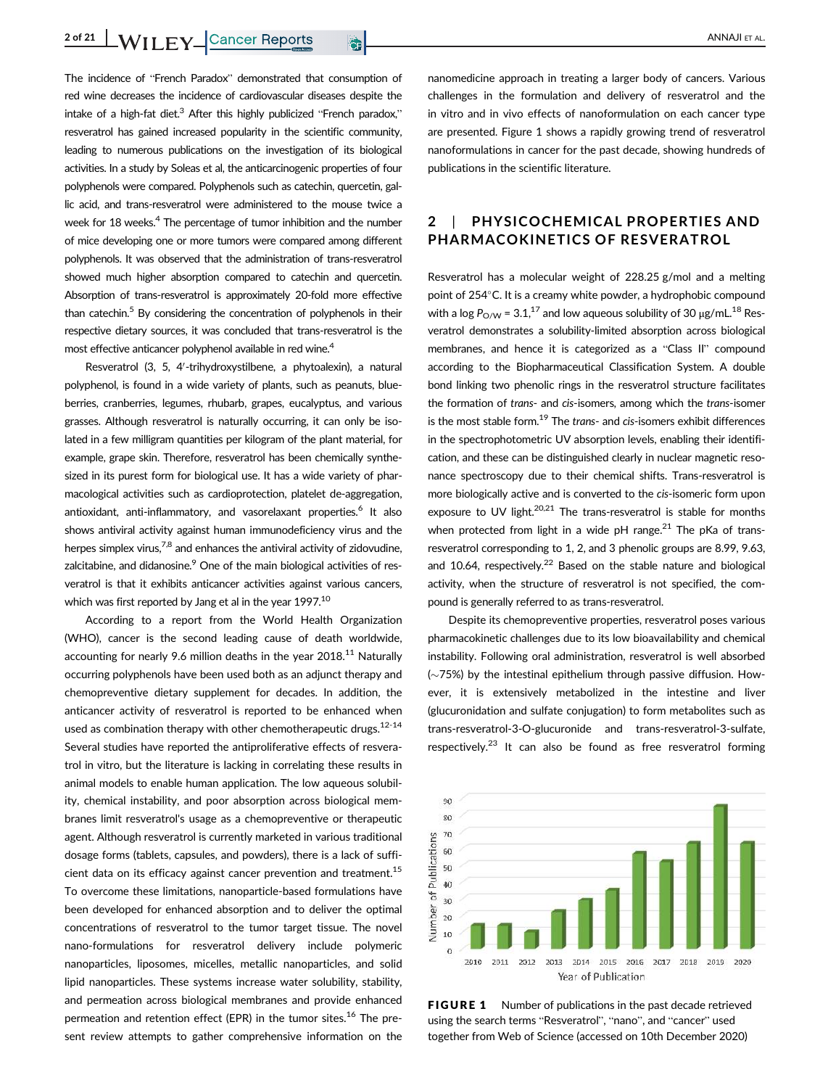The incidence of "French Paradox" demonstrated that consumption of red wine decreases the incidence of cardiovascular diseases despite the intake of a high-fat diet.<sup>3</sup> After this highly publicized "French paradox." resveratrol has gained increased popularity in the scientific community, leading to numerous publications on the investigation of its biological activities. In a study by Soleas et al, the anticarcinogenic properties of four polyphenols were compared. Polyphenols such as catechin, quercetin, gallic acid, and trans-resveratrol were administered to the mouse twice a week for 18 weeks.<sup>4</sup> The percentage of tumor inhibition and the number of mice developing one or more tumors were compared among different polyphenols. It was observed that the administration of trans-resveratrol showed much higher absorption compared to catechin and quercetin. Absorption of trans-resveratrol is approximately 20-fold more effective than catechin. $5$  By considering the concentration of polyphenols in their respective dietary sources, it was concluded that trans-resveratrol is the most effective anticancer polyphenol available in red wine.<sup>4</sup>

Resveratrol (3, 5, 4'-trihydroxystilbene, a phytoalexin), a natural polyphenol, is found in a wide variety of plants, such as peanuts, blueberries, cranberries, legumes, rhubarb, grapes, eucalyptus, and various grasses. Although resveratrol is naturally occurring, it can only be isolated in a few milligram quantities per kilogram of the plant material, for example, grape skin. Therefore, resveratrol has been chemically synthesized in its purest form for biological use. It has a wide variety of pharmacological activities such as cardioprotection, platelet de-aggregation, antioxidant, anti-inflammatory, and vasorelaxant properties.<sup>6</sup> It also shows antiviral activity against human immunodeficiency virus and the herpes simplex virus,  $7,8$  and enhances the antiviral activity of zidovudine. zalcitabine, and didanosine.<sup>9</sup> One of the main biological activities of resveratrol is that it exhibits anticancer activities against various cancers, which was first reported by Jang et al in the year 1997.<sup>10</sup>

According to a report from the World Health Organization (WHO), cancer is the second leading cause of death worldwide, accounting for nearly 9.6 million deaths in the year  $2018$ <sup>11</sup> Naturally occurring polyphenols have been used both as an adjunct therapy and chemopreventive dietary supplement for decades. In addition, the anticancer activity of resveratrol is reported to be enhanced when used as combination therapy with other chemotherapeutic drugs. $12-14$ Several studies have reported the antiproliferative effects of resveratrol in vitro, but the literature is lacking in correlating these results in animal models to enable human application. The low aqueous solubility, chemical instability, and poor absorption across biological membranes limit resveratrol's usage as a chemopreventive or therapeutic agent. Although resveratrol is currently marketed in various traditional dosage forms (tablets, capsules, and powders), there is a lack of sufficient data on its efficacy against cancer prevention and treatment.<sup>15</sup> To overcome these limitations, nanoparticle-based formulations have been developed for enhanced absorption and to deliver the optimal concentrations of resveratrol to the tumor target tissue. The novel nano-formulations for resveratrol delivery include polymeric nanoparticles, liposomes, micelles, metallic nanoparticles, and solid lipid nanoparticles. These systems increase water solubility, stability, and permeation across biological membranes and provide enhanced permeation and retention effect (EPR) in the tumor sites.<sup>16</sup> The present review attempts to gather comprehensive information on the nanomedicine approach in treating a larger body of cancers. Various challenges in the formulation and delivery of resveratrol and the in vitro and in vivo effects of nanoformulation on each cancer type are presented. Figure 1 shows a rapidly growing trend of resveratrol nanoformulations in cancer for the past decade, showing hundreds of publications in the scientific literature.

# 2 | PHYSICOCHEMICAL PROPERTIES AND PHARMACOKINETICS OF RESVERATROL

Resveratrol has a molecular weight of 228.25 g/mol and a melting point of 254°C. It is a creamy white powder, a hydrophobic compound with a log  $P_{O/W}$  = 3.1,<sup>17</sup> and low aqueous solubility of 30  $\mu$ g/mL.<sup>18</sup> Resveratrol demonstrates a solubility-limited absorption across biological membranes, and hence it is categorized as a "Class II" compound according to the Biopharmaceutical Classification System. A double bond linking two phenolic rings in the resveratrol structure facilitates the formation of trans- and cis-isomers, among which the trans-isomer is the most stable form.<sup>19</sup> The *trans-* and *cis-isomers* exhibit differences in the spectrophotometric UV absorption levels, enabling their identification, and these can be distinguished clearly in nuclear magnetic resonance spectroscopy due to their chemical shifts. Trans-resveratrol is more biologically active and is converted to the cis-isomeric form upon exposure to UV light. $20,21$  The trans-resveratrol is stable for months when protected from light in a wide pH range.<sup>21</sup> The pKa of transresveratrol corresponding to 1, 2, and 3 phenolic groups are 8.99, 9.63, and 10.64, respectively.<sup>22</sup> Based on the stable nature and biological activity, when the structure of resveratrol is not specified, the compound is generally referred to as trans-resveratrol.

Despite its chemopreventive properties, resveratrol poses various pharmacokinetic challenges due to its low bioavailability and chemical instability. Following oral administration, resveratrol is well absorbed  $(\sim$ 75%) by the intestinal epithelium through passive diffusion. However, it is extensively metabolized in the intestine and liver (glucuronidation and sulfate conjugation) to form metabolites such as trans-resveratrol-3-O-glucuronide and trans-resveratrol-3-sulfate, respectively.<sup>23</sup> It can also be found as free resveratrol forming



FIGURE 1 Number of publications in the past decade retrieved using the search terms "Resveratrol", "nano", and "cancer" used together from Web of Science (accessed on 10th December 2020)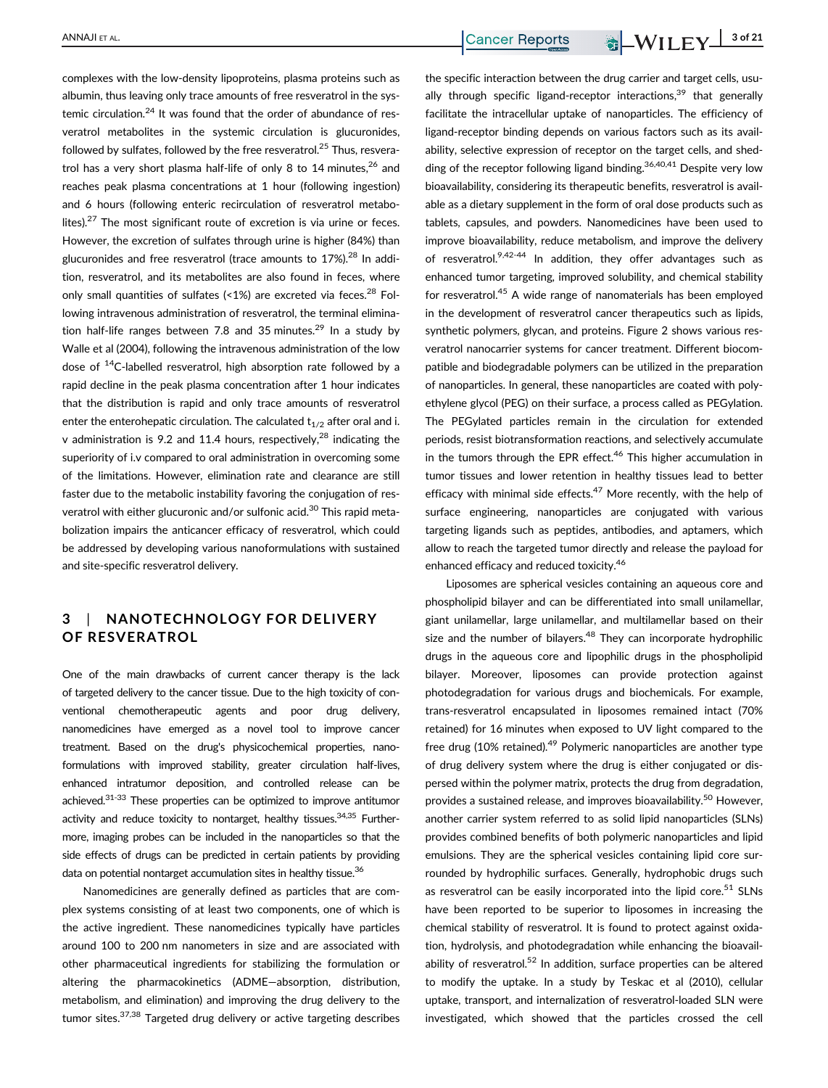complexes with the low-density lipoproteins, plasma proteins such as albumin, thus leaving only trace amounts of free resveratrol in the systemic circulation.<sup>24</sup> It was found that the order of abundance of resveratrol metabolites in the systemic circulation is glucuronides, followed by sulfates, followed by the free resveratrol.<sup>25</sup> Thus, resveratrol has a very short plasma half-life of only 8 to 14 minutes. $26$  and reaches peak plasma concentrations at 1 hour (following ingestion) and 6 hours (following enteric recirculation of resveratrol metabolites). $27$  The most significant route of excretion is via urine or feces. However, the excretion of sulfates through urine is higher (84%) than glucuronides and free resveratrol (trace amounts to 17%).<sup>28</sup> In addition, resveratrol, and its metabolites are also found in feces, where only small quantities of sulfates  $($  < 1%) are excreted via feces.<sup>28</sup> Following intravenous administration of resveratrol, the terminal elimination half-life ranges between 7.8 and 35 minutes.<sup>29</sup> In a study by Walle et al (2004), following the intravenous administration of the low dose of  $14$ C-labelled resveratrol, high absorption rate followed by a rapid decline in the peak plasma concentration after 1 hour indicates that the distribution is rapid and only trace amounts of resveratrol enter the enterohepatic circulation. The calculated  $t_{1/2}$  after oral and i. v administration is 9.2 and 11.4 hours, respectively, $^{28}$  indicating the superiority of i.v compared to oral administration in overcoming some of the limitations. However, elimination rate and clearance are still faster due to the metabolic instability favoring the conjugation of resveratrol with either glucuronic and/or sulfonic acid.<sup>30</sup> This rapid metabolization impairs the anticancer efficacy of resveratrol, which could be addressed by developing various nanoformulations with sustained and site-specific resveratrol delivery.

# 3 | NANOTECHNOLOGY FOR DELIVERY OF RESVERATROL

One of the main drawbacks of current cancer therapy is the lack of targeted delivery to the cancer tissue. Due to the high toxicity of conventional chemotherapeutic agents and poor drug delivery, nanomedicines have emerged as a novel tool to improve cancer treatment. Based on the drug's physicochemical properties, nanoformulations with improved stability, greater circulation half-lives, enhanced intratumor deposition, and controlled release can be achieved.31-33 These properties can be optimized to improve antitumor activity and reduce toxicity to nontarget, healthy tissues. $34,35$  Furthermore, imaging probes can be included in the nanoparticles so that the side effects of drugs can be predicted in certain patients by providing data on potential nontarget accumulation sites in healthy tissue.<sup>36</sup>

Nanomedicines are generally defined as particles that are complex systems consisting of at least two components, one of which is the active ingredient. These nanomedicines typically have particles around 100 to 200 nm nanometers in size and are associated with other pharmaceutical ingredients for stabilizing the formulation or altering the pharmacokinetics (ADME—absorption, distribution, metabolism, and elimination) and improving the drug delivery to the tumor sites.<sup>37,38</sup> Targeted drug delivery or active targeting describes

the specific interaction between the drug carrier and target cells, usually through specific ligand-receptor interactions, $39$  that generally facilitate the intracellular uptake of nanoparticles. The efficiency of ligand-receptor binding depends on various factors such as its availability, selective expression of receptor on the target cells, and shedding of the receptor following ligand binding.  $36,40,41$  Despite very low bioavailability, considering its therapeutic benefits, resveratrol is available as a dietary supplement in the form of oral dose products such as tablets, capsules, and powders. Nanomedicines have been used to improve bioavailability, reduce metabolism, and improve the delivery of resveratrol. $9,42-44$  In addition, they offer advantages such as enhanced tumor targeting, improved solubility, and chemical stability for resveratrol.<sup>45</sup> A wide range of nanomaterials has been employed in the development of resveratrol cancer therapeutics such as lipids, synthetic polymers, glycan, and proteins. Figure 2 shows various resveratrol nanocarrier systems for cancer treatment. Different biocompatible and biodegradable polymers can be utilized in the preparation of nanoparticles. In general, these nanoparticles are coated with polyethylene glycol (PEG) on their surface, a process called as PEGylation. The PEGylated particles remain in the circulation for extended periods, resist biotransformation reactions, and selectively accumulate in the tumors through the EPR effect.<sup>46</sup> This higher accumulation in tumor tissues and lower retention in healthy tissues lead to better efficacy with minimal side effects. $47$  More recently, with the help of surface engineering, nanoparticles are conjugated with various targeting ligands such as peptides, antibodies, and aptamers, which allow to reach the targeted tumor directly and release the payload for enhanced efficacy and reduced toxicity.<sup>46</sup>

Liposomes are spherical vesicles containing an aqueous core and phospholipid bilayer and can be differentiated into small unilamellar, giant unilamellar, large unilamellar, and multilamellar based on their size and the number of bilayers. $48$  They can incorporate hydrophilic drugs in the aqueous core and lipophilic drugs in the phospholipid bilayer. Moreover, liposomes can provide protection against photodegradation for various drugs and biochemicals. For example, trans-resveratrol encapsulated in liposomes remained intact (70% retained) for 16 minutes when exposed to UV light compared to the free drug (10% retained). $49$  Polymeric nanoparticles are another type of drug delivery system where the drug is either conjugated or dispersed within the polymer matrix, protects the drug from degradation, provides a sustained release, and improves bioavailability.<sup>50</sup> However, another carrier system referred to as solid lipid nanoparticles (SLNs) provides combined benefits of both polymeric nanoparticles and lipid emulsions. They are the spherical vesicles containing lipid core surrounded by hydrophilic surfaces. Generally, hydrophobic drugs such as resveratrol can be easily incorporated into the lipid core.<sup>51</sup> SLNs have been reported to be superior to liposomes in increasing the chemical stability of resveratrol. It is found to protect against oxidation, hydrolysis, and photodegradation while enhancing the bioavailability of resveratrol. $52$  In addition, surface properties can be altered to modify the uptake. In a study by Teskac et al (2010), cellular uptake, transport, and internalization of resveratrol-loaded SLN were investigated, which showed that the particles crossed the cell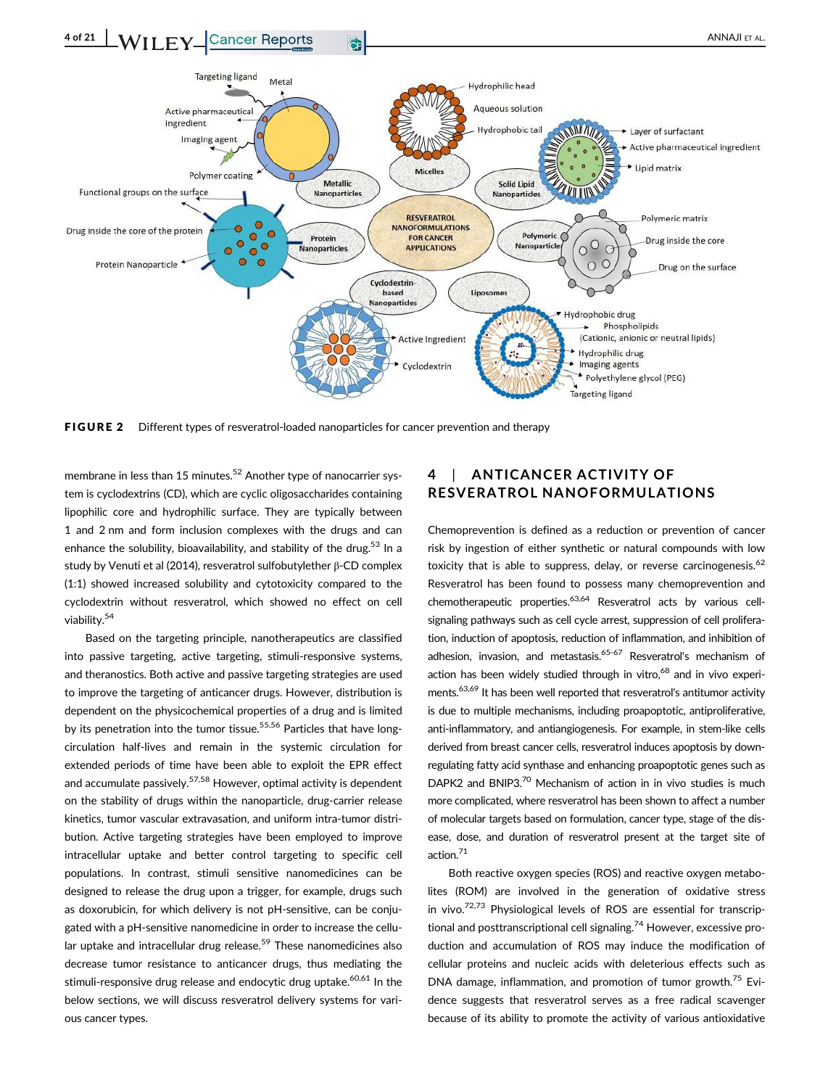

FIGURE 2 Different types of resveratrol-loaded nanoparticles for cancer prevention and therapy

membrane in less than 15 minutes.<sup>52</sup> Another type of nanocarrier system is cyclodextrins (CD), which are cyclic oligosaccharides containing lipophilic core and hydrophilic surface. They are typically between 1 and 2 nm and form inclusion complexes with the drugs and can enhance the solubility, bioavailability, and stability of the drug.<sup>53</sup> In a study by Venuti et al (2014), resveratrol sulfobutylether β-CD complex (1:1) showed increased solubility and cytotoxicity compared to the cyclodextrin without resveratrol, which showed no effect on cell viability.<sup>54</sup>

Based on the targeting principle, nanotherapeutics are classified into passive targeting, active targeting, stimuli-responsive systems, and theranostics. Both active and passive targeting strategies are used to improve the targeting of anticancer drugs. However, distribution is dependent on the physicochemical properties of a drug and is limited by its penetration into the tumor tissue.<sup>55,56</sup> Particles that have longcirculation half-lives and remain in the systemic circulation for extended periods of time have been able to exploit the EPR effect and accumulate passively.<sup>57,58</sup> However, optimal activity is dependent on the stability of drugs within the nanoparticle, drug-carrier release kinetics, tumor vascular extravasation, and uniform intra-tumor distribution. Active targeting strategies have been employed to improve intracellular uptake and better control targeting to specific cell populations. In contrast, stimuli sensitive nanomedicines can be designed to release the drug upon a trigger, for example, drugs such as doxorubicin, for which delivery is not pH-sensitive, can be conjugated with a pH-sensitive nanomedicine in order to increase the cellular uptake and intracellular drug release.<sup>59</sup> These nanomedicines also decrease tumor resistance to anticancer drugs, thus mediating the stimuli-responsive drug release and endocytic drug uptake.<sup>60,61</sup> In the below sections, we will discuss resveratrol delivery systems for various cancer types.

# ANTICANCER ACTIVITY OF RESVERATROL NANOFORMULATIONS

Chemoprevention is defined as a reduction or prevention of cancer risk by ingestion of either synthetic or natural compounds with low toxicity that is able to suppress, delay, or reverse carcinogenesis. $62$ Resveratrol has been found to possess many chemoprevention and chemotherapeutic properties.<sup>63,64</sup> Resveratrol acts by various cellsignaling pathways such as cell cycle arrest, suppression of cell proliferation, induction of apoptosis, reduction of inflammation, and inhibition of adhesion, invasion, and metastasis.<sup>65-67</sup> Resveratrol's mechanism of action has been widely studied through in vitro,<sup>68</sup> and in vivo experiments.<sup>63,69</sup> It has been well reported that resveratrol's antitumor activity is due to multiple mechanisms, including proapoptotic, antiproliferative, anti-inflammatory, and antiangiogenesis. For example, in stem-like cells derived from breast cancer cells, resveratrol induces apoptosis by downregulating fatty acid synthase and enhancing proapoptotic genes such as DAPK2 and BNIP3.<sup>70</sup> Mechanism of action in in vivo studies is much more complicated, where resveratrol has been shown to affect a number of molecular targets based on formulation, cancer type, stage of the disease, dose, and duration of resveratrol present at the target site of action.<sup>71</sup>

Both reactive oxygen species (ROS) and reactive oxygen metabolites (ROM) are involved in the generation of oxidative stress in vivo. $72,73$  Physiological levels of ROS are essential for transcriptional and posttranscriptional cell signaling.<sup>74</sup> However, excessive production and accumulation of ROS may induce the modification of cellular proteins and nucleic acids with deleterious effects such as DNA damage, inflammation, and promotion of tumor growth.<sup>75</sup> Evidence suggests that resveratrol serves as a free radical scavenger because of its ability to promote the activity of various antioxidative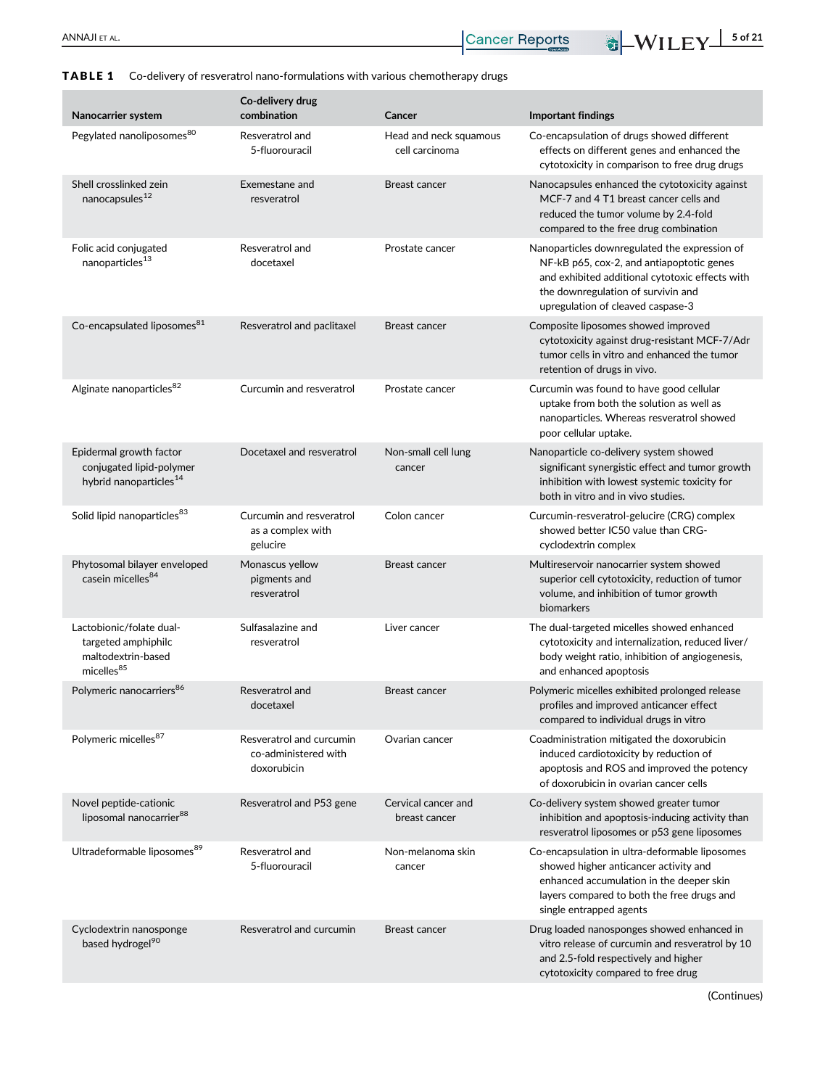# TABLE 1 Co-delivery of resveratrol nano-formulations with various chemotherapy drugs

| Nanocarrier system                                                                              | Co-delivery drug<br>combination                                 | Cancer                                   | <b>Important findings</b>                                                                                                                                                                                                |
|-------------------------------------------------------------------------------------------------|-----------------------------------------------------------------|------------------------------------------|--------------------------------------------------------------------------------------------------------------------------------------------------------------------------------------------------------------------------|
| Pegylated nanoliposomes <sup>80</sup>                                                           | Resveratrol and<br>5-fluorouracil                               | Head and neck squamous<br>cell carcinoma | Co-encapsulation of drugs showed different<br>effects on different genes and enhanced the<br>cytotoxicity in comparison to free drug drugs                                                                               |
| Shell crosslinked zein<br>nanocapsules <sup>12</sup>                                            | Exemestane and<br>resveratrol                                   | <b>Breast cancer</b>                     | Nanocapsules enhanced the cytotoxicity against<br>MCF-7 and 4 T1 breast cancer cells and<br>reduced the tumor volume by 2.4-fold<br>compared to the free drug combination                                                |
| Folic acid conjugated<br>nanoparticles <sup>13</sup>                                            | Resveratrol and<br>docetaxel                                    | Prostate cancer                          | Nanoparticles downregulated the expression of<br>NF-kB p65, cox-2, and antiapoptotic genes<br>and exhibited additional cytotoxic effects with<br>the downregulation of survivin and<br>upregulation of cleaved caspase-3 |
| Co-encapsulated liposomes <sup>81</sup>                                                         | Resveratrol and paclitaxel                                      | <b>Breast cancer</b>                     | Composite liposomes showed improved<br>cytotoxicity against drug-resistant MCF-7/Adr<br>tumor cells in vitro and enhanced the tumor<br>retention of drugs in vivo.                                                       |
| Alginate nanoparticles <sup>82</sup>                                                            | Curcumin and resveratrol                                        | Prostate cancer                          | Curcumin was found to have good cellular<br>uptake from both the solution as well as<br>nanoparticles. Whereas resveratrol showed<br>poor cellular uptake.                                                               |
| Epidermal growth factor<br>conjugated lipid-polymer<br>hybrid nanoparticles <sup>14</sup>       | Docetaxel and resveratrol                                       | Non-small cell lung<br>cancer            | Nanoparticle co-delivery system showed<br>significant synergistic effect and tumor growth<br>inhibition with lowest systemic toxicity for<br>both in vitro and in vivo studies.                                          |
| Solid lipid nanoparticles <sup>83</sup>                                                         | Curcumin and resveratrol<br>as a complex with<br>gelucire       | Colon cancer                             | Curcumin-resveratrol-gelucire (CRG) complex<br>showed better IC50 value than CRG-<br>cyclodextrin complex                                                                                                                |
| Phytosomal bilayer enveloped<br>casein micelles <sup>84</sup>                                   | Monascus yellow<br>pigments and<br>resveratrol                  | <b>Breast cancer</b>                     | Multireservoir nanocarrier system showed<br>superior cell cytotoxicity, reduction of tumor<br>volume, and inhibition of tumor growth<br>biomarkers                                                                       |
| Lactobionic/folate dual-<br>targeted amphiphilc<br>maltodextrin-based<br>micelles <sup>85</sup> | Sulfasalazine and<br>resveratrol                                | Liver cancer                             | The dual-targeted micelles showed enhanced<br>cytotoxicity and internalization, reduced liver/<br>body weight ratio, inhibition of angiogenesis,<br>and enhanced apoptosis                                               |
| Polymeric nanocarriers <sup>86</sup>                                                            | Resveratrol and<br>docetaxel                                    | <b>Breast cancer</b>                     | Polymeric micelles exhibited prolonged release<br>profiles and improved anticancer effect<br>compared to individual drugs in vitro                                                                                       |
| Polymeric micelles87                                                                            | Resveratrol and curcumin<br>co-administered with<br>doxorubicin | Ovarian cancer                           | Coadministration mitigated the doxorubicin<br>induced cardiotoxicity by reduction of<br>apoptosis and ROS and improved the potency<br>of doxorubicin in ovarian cancer cells                                             |
| Novel peptide-cationic<br>liposomal nanocarrier <sup>88</sup>                                   | Resveratrol and P53 gene                                        | Cervical cancer and<br>breast cancer     | Co-delivery system showed greater tumor<br>inhibition and apoptosis-inducing activity than<br>resveratrol liposomes or p53 gene liposomes                                                                                |
| Ultradeformable liposomes <sup>89</sup>                                                         | Resveratrol and<br>5-fluorouracil                               | Non-melanoma skin<br>cancer              | Co-encapsulation in ultra-deformable liposomes<br>showed higher anticancer activity and<br>enhanced accumulation in the deeper skin<br>layers compared to both the free drugs and<br>single entrapped agents             |
| Cyclodextrin nanosponge<br>based hydrogel <sup>90</sup>                                         | Resveratrol and curcumin                                        | <b>Breast cancer</b>                     | Drug loaded nanosponges showed enhanced in<br>vitro release of curcumin and resveratrol by 10<br>and 2.5-fold respectively and higher<br>cytotoxicity compared to free drug                                              |

(Continues)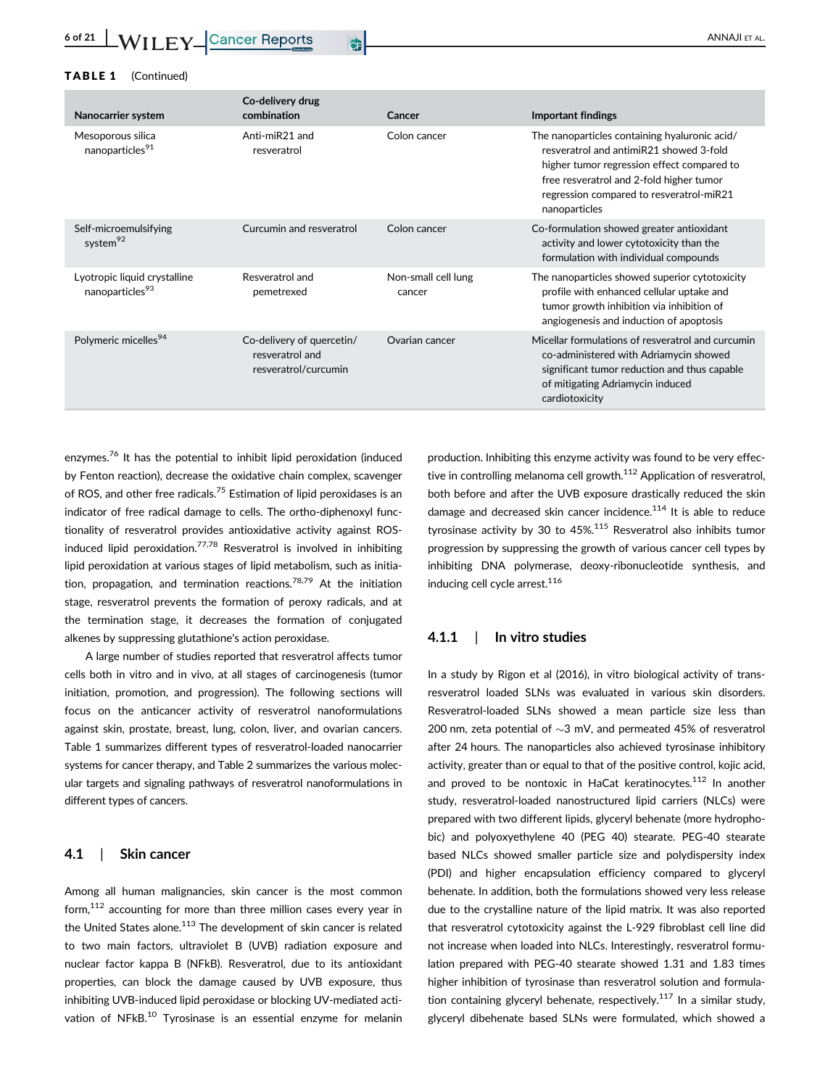#### TABLE 1 (Continued)

| Nanocarrier system                                          | Co-delivery drug<br>combination                                      | Cancer                        | <b>Important findings</b>                                                                                                                                                                                                                       |
|-------------------------------------------------------------|----------------------------------------------------------------------|-------------------------------|-------------------------------------------------------------------------------------------------------------------------------------------------------------------------------------------------------------------------------------------------|
| Mesoporous silica<br>nanoparticles <sup>91</sup>            | Anti-miR21 and<br>resveratrol                                        | Colon cancer                  | The nanoparticles containing hyaluronic acid/<br>resveratrol and antimiR21 showed 3-fold<br>higher tumor regression effect compared to<br>free resveratrol and 2-fold higher tumor<br>regression compared to resveratrol-miR21<br>nanoparticles |
| Self-microemulsifying<br>system <sup>92</sup>               | Curcumin and resveratrol                                             | Colon cancer                  | Co-formulation showed greater antioxidant<br>activity and lower cytotoxicity than the<br>formulation with individual compounds                                                                                                                  |
| Lyotropic liquid crystalline<br>nanoparticles <sup>93</sup> | Resveratrol and<br>pemetrexed                                        | Non-small cell lung<br>cancer | The nanoparticles showed superior cytotoxicity<br>profile with enhanced cellular uptake and<br>tumor growth inhibition via inhibition of<br>angiogenesis and induction of apoptosis                                                             |
| Polymeric micelles <sup>94</sup>                            | Co-delivery of quercetin/<br>resveratrol and<br>resveratrol/curcumin | Ovarian cancer                | Micellar formulations of resveratrol and curcumin<br>co-administered with Adriamycin showed<br>significant tumor reduction and thus capable<br>of mitigating Adriamycin induced<br>cardiotoxicity                                               |

enzymes.<sup>76</sup> It has the potential to inhibit lipid peroxidation (induced by Fenton reaction), decrease the oxidative chain complex, scavenger of ROS, and other free radicals.<sup>75</sup> Estimation of lipid peroxidases is an indicator of free radical damage to cells. The ortho-diphenoxyl functionality of resveratrol provides antioxidative activity against ROSinduced lipid peroxidation.<sup>77,78</sup> Resveratrol is involved in inhibiting lipid peroxidation at various stages of lipid metabolism, such as initiation, propagation, and termination reactions.<sup>78,79</sup> At the initiation stage, resveratrol prevents the formation of peroxy radicals, and at the termination stage, it decreases the formation of conjugated alkenes by suppressing glutathione's action peroxidase.

A large number of studies reported that resveratrol affects tumor cells both in vitro and in vivo, at all stages of carcinogenesis (tumor initiation, promotion, and progression). The following sections will focus on the anticancer activity of resveratrol nanoformulations against skin, prostate, breast, lung, colon, liver, and ovarian cancers. Table 1 summarizes different types of resveratrol-loaded nanocarrier systems for cancer therapy, and Table 2 summarizes the various molecular targets and signaling pathways of resveratrol nanoformulations in different types of cancers.

#### 4.1 | Skin cancer

Among all human malignancies, skin cancer is the most common form,<sup>112</sup> accounting for more than three million cases every year in the United States alone. $113$  The development of skin cancer is related to two main factors, ultraviolet B (UVB) radiation exposure and nuclear factor kappa B (NFkB). Resveratrol, due to its antioxidant properties, can block the damage caused by UVB exposure, thus inhibiting UVB-induced lipid peroxidase or blocking UV-mediated activation of NFkB.<sup>10</sup> Tyrosinase is an essential enzyme for melanin production. Inhibiting this enzyme activity was found to be very effective in controlling melanoma cell growth.<sup>112</sup> Application of resveratrol, both before and after the UVB exposure drastically reduced the skin damage and decreased skin cancer incidence. $114$  It is able to reduce tyrosinase activity by 30 to 45%.<sup>115</sup> Resveratrol also inhibits tumor progression by suppressing the growth of various cancer cell types by inhibiting DNA polymerase, deoxy-ribonucleotide synthesis, and inducing cell cycle arrest.<sup>116</sup>

#### 4.1.1 | In vitro studies

In a study by Rigon et al (2016), in vitro biological activity of transresveratrol loaded SLNs was evaluated in various skin disorders. Resveratrol-loaded SLNs showed a mean particle size less than 200 nm, zeta potential of  $\sim$ 3 mV, and permeated 45% of resveratrol after 24 hours. The nanoparticles also achieved tyrosinase inhibitory activity, greater than or equal to that of the positive control, kojic acid, and proved to be nontoxic in HaCat keratinocytes.<sup>112</sup> In another study, resveratrol-loaded nanostructured lipid carriers (NLCs) were prepared with two different lipids, glyceryl behenate (more hydrophobic) and polyoxyethylene 40 (PEG 40) stearate. PEG-40 stearate based NLCs showed smaller particle size and polydispersity index (PDI) and higher encapsulation efficiency compared to glyceryl behenate. In addition, both the formulations showed very less release due to the crystalline nature of the lipid matrix. It was also reported that resveratrol cytotoxicity against the L-929 fibroblast cell line did not increase when loaded into NLCs. Interestingly, resveratrol formulation prepared with PEG-40 stearate showed 1.31 and 1.83 times higher inhibition of tyrosinase than resveratrol solution and formulation containing glyceryl behenate, respectively.<sup>117</sup> In a similar study, glyceryl dibehenate based SLNs were formulated, which showed a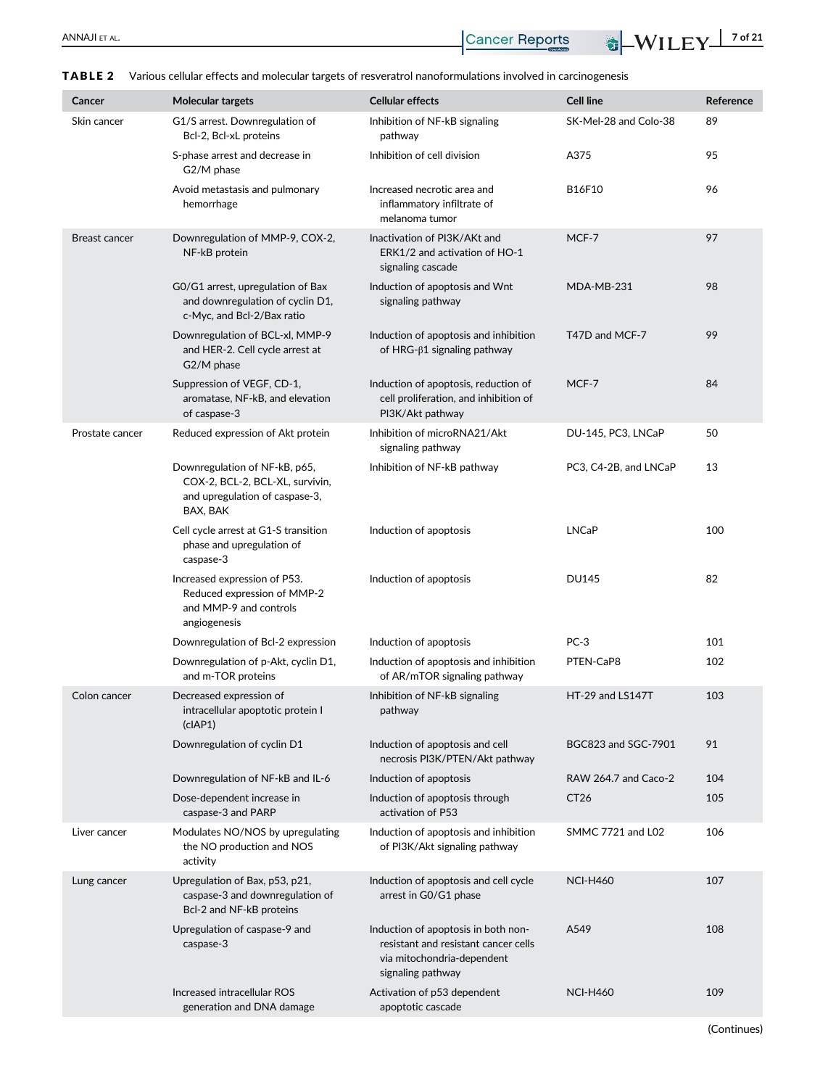| Cancer          | <b>Molecular targets</b>                                                                                       | <b>Cellular effects</b>                                                                                                        | <b>Cell line</b>      | Reference |
|-----------------|----------------------------------------------------------------------------------------------------------------|--------------------------------------------------------------------------------------------------------------------------------|-----------------------|-----------|
| Skin cancer     | G1/S arrest. Downregulation of<br>Bcl-2, Bcl-xL proteins                                                       | Inhibition of NF-kB signaling<br>pathway                                                                                       | SK-Mel-28 and Colo-38 | 89        |
|                 | S-phase arrest and decrease in<br>G2/M phase                                                                   | Inhibition of cell division                                                                                                    | A375                  | 95        |
|                 | Avoid metastasis and pulmonary<br>hemorrhage                                                                   | Increased necrotic area and<br>inflammatory infiltrate of<br>melanoma tumor                                                    | B16F10                | 96        |
| Breast cancer   | Downregulation of MMP-9, COX-2,<br>NF-kB protein                                                               | Inactivation of PI3K/AKt and<br>ERK1/2 and activation of HO-1<br>signaling cascade                                             | MCF-7                 | 97        |
|                 | GO/G1 arrest, upregulation of Bax<br>and downregulation of cyclin D1,<br>c-Myc, and Bcl-2/Bax ratio            | Induction of apoptosis and Wnt<br>signaling pathway                                                                            | MDA-MB-231            | 98        |
|                 | Downregulation of BCL-xl, MMP-9<br>and HER-2. Cell cycle arrest at<br>G2/M phase                               | Induction of apoptosis and inhibition<br>of HRG- $\beta$ 1 signaling pathway                                                   | T47D and MCF-7        | 99        |
|                 | Suppression of VEGF, CD-1,<br>aromatase, NF-kB, and elevation<br>of caspase-3                                  | Induction of apoptosis, reduction of<br>cell proliferation, and inhibition of<br>PI3K/Akt pathway                              | MCF-7                 | 84        |
| Prostate cancer | Reduced expression of Akt protein                                                                              | Inhibition of microRNA21/Akt<br>signaling pathway                                                                              | DU-145, PC3, LNCaP    | 50        |
|                 | Downregulation of NF-kB, p65,<br>COX-2, BCL-2, BCL-XL, survivin,<br>and upregulation of caspase-3,<br>BAX, BAK | Inhibition of NF-kB pathway                                                                                                    | PC3, C4-2B, and LNCaP | 13        |
|                 | Cell cycle arrest at G1-S transition<br>phase and upregulation of<br>caspase-3                                 | Induction of apoptosis                                                                                                         | <b>LNCaP</b>          | 100       |
|                 | Increased expression of P53.<br>Reduced expression of MMP-2<br>and MMP-9 and controls<br>angiogenesis          | Induction of apoptosis                                                                                                         | <b>DU145</b>          | 82        |
|                 | Downregulation of Bcl-2 expression                                                                             | Induction of apoptosis                                                                                                         | $PC-3$                | 101       |
|                 | Downregulation of p-Akt, cyclin D1,<br>and m-TOR proteins                                                      | Induction of apoptosis and inhibition<br>of AR/mTOR signaling pathway                                                          | PTEN-CaP8             | 102       |
| Colon cancer    | Decreased expression of<br>intracellular apoptotic protein I<br>(clAP1)                                        | Inhibition of NF-kB signaling<br>pathway                                                                                       | HT-29 and LS147T      | 103       |
|                 | Downregulation of cyclin D1                                                                                    | Induction of apoptosis and cell<br>necrosis PI3K/PTEN/Akt pathway                                                              | BGC823 and SGC-7901   | 91        |
|                 | Downregulation of NF-kB and IL-6                                                                               | Induction of apoptosis                                                                                                         | RAW 264.7 and Caco-2  | 104       |
|                 | Dose-dependent increase in<br>caspase-3 and PARP                                                               | Induction of apoptosis through<br>activation of P53                                                                            | CT <sub>26</sub>      | 105       |
| Liver cancer    | Modulates NO/NOS by upregulating<br>the NO production and NOS<br>activity                                      | Induction of apoptosis and inhibition<br>of PI3K/Akt signaling pathway                                                         | SMMC 7721 and L02     | 106       |
| Lung cancer     | Upregulation of Bax, p53, p21,<br>caspase-3 and downregulation of<br>Bcl-2 and NF-kB proteins                  | Induction of apoptosis and cell cycle<br>arrest in G0/G1 phase                                                                 | <b>NCI-H460</b>       | 107       |
|                 | Upregulation of caspase-9 and<br>caspase-3                                                                     | Induction of apoptosis in both non-<br>resistant and resistant cancer cells<br>via mitochondria-dependent<br>signaling pathway | A549                  | 108       |
|                 | Increased intracellular ROS<br>generation and DNA damage                                                       | Activation of p53 dependent<br>apoptotic cascade                                                                               | <b>NCI-H460</b>       | 109       |

TABLE 2 Various cellular effects and molecular targets of resveratrol nanoformulations involved in carcinogenesis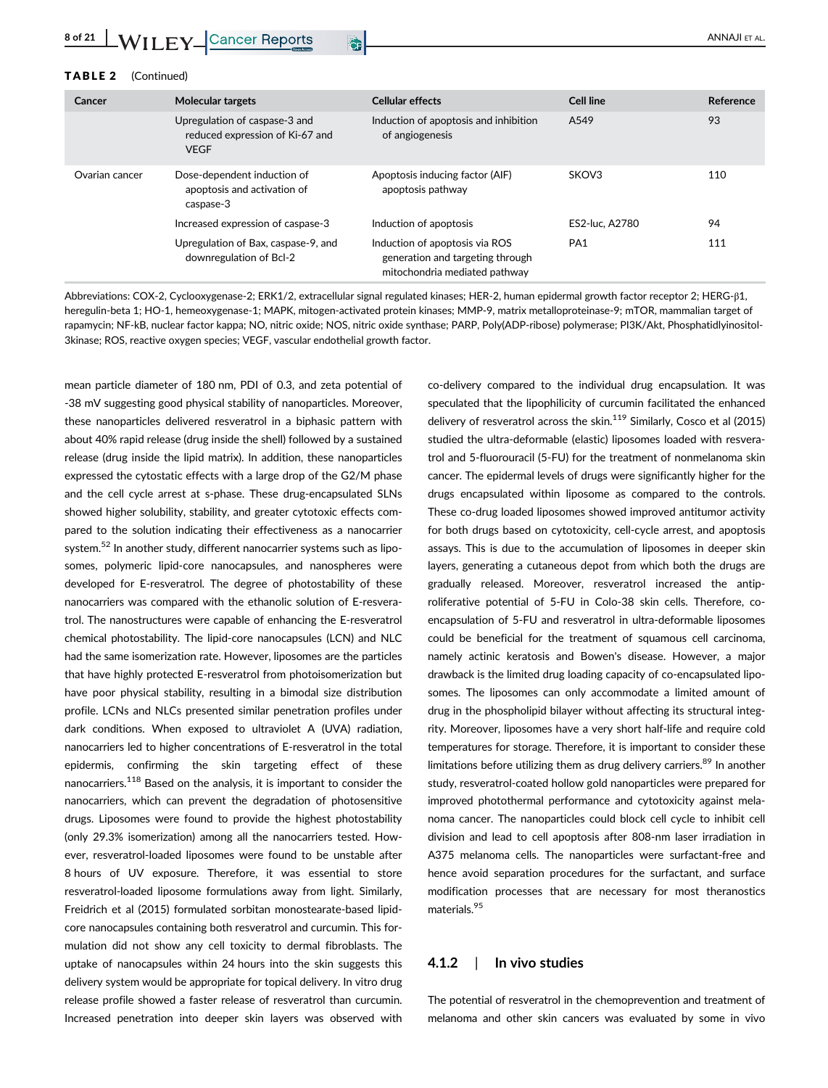| Cancer         | <b>Molecular targets</b>                                                        | <b>Cellular effects</b>                                                                             | <b>Cell line</b> | Reference |
|----------------|---------------------------------------------------------------------------------|-----------------------------------------------------------------------------------------------------|------------------|-----------|
|                | Upregulation of caspase-3 and<br>reduced expression of Ki-67 and<br><b>VEGF</b> | Induction of apoptosis and inhibition<br>of angiogenesis                                            | A549             | 93        |
| Ovarian cancer | Dose-dependent induction of<br>apoptosis and activation of<br>caspase-3         | Apoptosis inducing factor (AIF)<br>apoptosis pathway                                                | SKOV3            | 110       |
|                | Increased expression of caspase-3                                               | Induction of apoptosis                                                                              | ES2-luc. A2780   | 94        |
|                | Upregulation of Bax, caspase-9, and<br>downregulation of Bcl-2                  | Induction of apoptosis via ROS<br>generation and targeting through<br>mitochondria mediated pathway | PA <sub>1</sub>  | 111       |

Abbreviations: COX-2, Cyclooxygenase-2; ERK1/2, extracellular signal regulated kinases; HER-2, human epidermal growth factor receptor 2; HERG-β1, heregulin-beta 1; HO-1, hemeoxygenase-1; MAPK, mitogen-activated protein kinases; MMP-9, matrix metalloproteinase-9; mTOR, mammalian target of rapamycin; NF-kB, nuclear factor kappa; NO, nitric oxide; NOS, nitric oxide synthase; PARP, Poly(ADP-ribose) polymerase; PI3K/Akt, Phosphatidlyinositol-3kinase; ROS, reactive oxygen species; VEGF, vascular endothelial growth factor.

mean particle diameter of 180 nm, PDI of 0.3, and zeta potential of -38 mV suggesting good physical stability of nanoparticles. Moreover, these nanoparticles delivered resveratrol in a biphasic pattern with about 40% rapid release (drug inside the shell) followed by a sustained release (drug inside the lipid matrix). In addition, these nanoparticles expressed the cytostatic effects with a large drop of the G2/M phase and the cell cycle arrest at s-phase. These drug-encapsulated SLNs showed higher solubility, stability, and greater cytotoxic effects compared to the solution indicating their effectiveness as a nanocarrier system.<sup>52</sup> In another study, different nanocarrier systems such as liposomes, polymeric lipid-core nanocapsules, and nanospheres were developed for E-resveratrol. The degree of photostability of these nanocarriers was compared with the ethanolic solution of E-resveratrol. The nanostructures were capable of enhancing the E-resveratrol chemical photostability. The lipid-core nanocapsules (LCN) and NLC had the same isomerization rate. However, liposomes are the particles that have highly protected E-resveratrol from photoisomerization but have poor physical stability, resulting in a bimodal size distribution profile. LCNs and NLCs presented similar penetration profiles under dark conditions. When exposed to ultraviolet A (UVA) radiation, nanocarriers led to higher concentrations of E-resveratrol in the total epidermis, confirming the skin targeting effect of these nanocarriers.<sup>118</sup> Based on the analysis, it is important to consider the nanocarriers, which can prevent the degradation of photosensitive drugs. Liposomes were found to provide the highest photostability (only 29.3% isomerization) among all the nanocarriers tested. However, resveratrol-loaded liposomes were found to be unstable after 8 hours of UV exposure. Therefore, it was essential to store resveratrol-loaded liposome formulations away from light. Similarly, Freidrich et al (2015) formulated sorbitan monostearate-based lipidcore nanocapsules containing both resveratrol and curcumin. This formulation did not show any cell toxicity to dermal fibroblasts. The uptake of nanocapsules within 24 hours into the skin suggests this delivery system would be appropriate for topical delivery. In vitro drug release profile showed a faster release of resveratrol than curcumin. Increased penetration into deeper skin layers was observed with

co-delivery compared to the individual drug encapsulation. It was speculated that the lipophilicity of curcumin facilitated the enhanced delivery of resveratrol across the skin. $119$  Similarly, Cosco et al (2015) studied the ultra-deformable (elastic) liposomes loaded with resveratrol and 5-fluorouracil (5-FU) for the treatment of nonmelanoma skin cancer. The epidermal levels of drugs were significantly higher for the drugs encapsulated within liposome as compared to the controls. These co-drug loaded liposomes showed improved antitumor activity for both drugs based on cytotoxicity, cell-cycle arrest, and apoptosis assays. This is due to the accumulation of liposomes in deeper skin layers, generating a cutaneous depot from which both the drugs are gradually released. Moreover, resveratrol increased the antiproliferative potential of 5-FU in Colo-38 skin cells. Therefore, coencapsulation of 5-FU and resveratrol in ultra-deformable liposomes could be beneficial for the treatment of squamous cell carcinoma, namely actinic keratosis and Bowen's disease. However, a major drawback is the limited drug loading capacity of co-encapsulated liposomes. The liposomes can only accommodate a limited amount of drug in the phospholipid bilayer without affecting its structural integrity. Moreover, liposomes have a very short half-life and require cold temperatures for storage. Therefore, it is important to consider these limitations before utilizing them as drug delivery carriers. $89$  In another study, resveratrol-coated hollow gold nanoparticles were prepared for improved photothermal performance and cytotoxicity against melanoma cancer. The nanoparticles could block cell cycle to inhibit cell division and lead to cell apoptosis after 808-nm laser irradiation in A375 melanoma cells. The nanoparticles were surfactant-free and hence avoid separation procedures for the surfactant, and surface modification processes that are necessary for most theranostics materials.<sup>95</sup>

#### 4.1.2 | In vivo studies

The potential of resveratrol in the chemoprevention and treatment of melanoma and other skin cancers was evaluated by some in vivo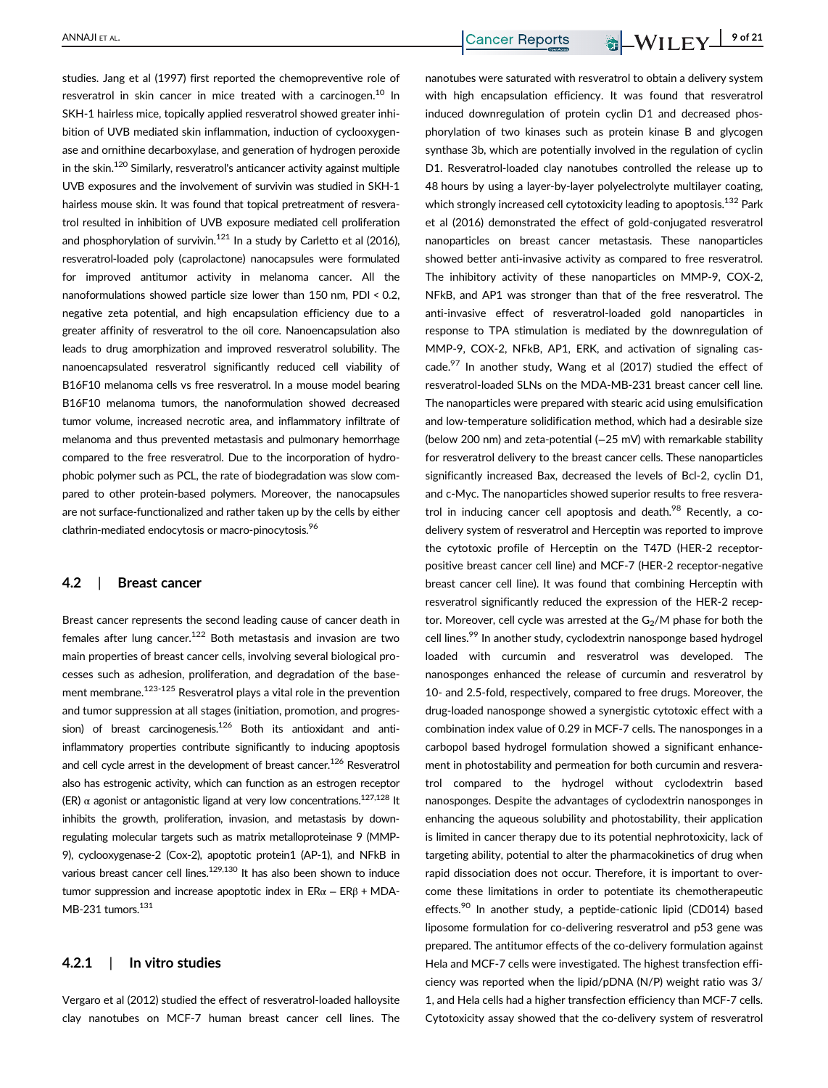studies. Jang et al (1997) first reported the chemopreventive role of resveratrol in skin cancer in mice treated with a carcinogen.<sup>10</sup> In SKH-1 hairless mice, topically applied resveratrol showed greater inhibition of UVB mediated skin inflammation, induction of cyclooxygenase and ornithine decarboxylase, and generation of hydrogen peroxide in the skin. $120$  Similarly, resveratrol's anticancer activity against multiple UVB exposures and the involvement of survivin was studied in SKH-1 hairless mouse skin. It was found that topical pretreatment of resveratrol resulted in inhibition of UVB exposure mediated cell proliferation and phosphorylation of survivin.<sup>121</sup> In a study by Carletto et al (2016), resveratrol-loaded poly (caprolactone) nanocapsules were formulated for improved antitumor activity in melanoma cancer. All the nanoformulations showed particle size lower than 150 nm, PDI < 0.2, negative zeta potential, and high encapsulation efficiency due to a greater affinity of resveratrol to the oil core. Nanoencapsulation also leads to drug amorphization and improved resveratrol solubility. The nanoencapsulated resveratrol significantly reduced cell viability of B16F10 melanoma cells vs free resveratrol. In a mouse model bearing B16F10 melanoma tumors, the nanoformulation showed decreased tumor volume, increased necrotic area, and inflammatory infiltrate of melanoma and thus prevented metastasis and pulmonary hemorrhage compared to the free resveratrol. Due to the incorporation of hydrophobic polymer such as PCL, the rate of biodegradation was slow compared to other protein-based polymers. Moreover, the nanocapsules are not surface-functionalized and rather taken up by the cells by either clathrin-mediated endocytosis or macro-pinocytosis.<sup>96</sup>

#### 4.2 | Breast cancer

Breast cancer represents the second leading cause of cancer death in females after lung cancer.<sup>122</sup> Both metastasis and invasion are two main properties of breast cancer cells, involving several biological processes such as adhesion, proliferation, and degradation of the basement membrane.<sup>123-125</sup> Resveratrol plays a vital role in the prevention and tumor suppression at all stages (initiation, promotion, and progression) of breast carcinogenesis.<sup>126</sup> Both its antioxidant and antiinflammatory properties contribute significantly to inducing apoptosis and cell cycle arrest in the development of breast cancer.<sup>126</sup> Resveratrol also has estrogenic activity, which can function as an estrogen receptor (ER)  $\alpha$  agonist or antagonistic ligand at very low concentrations.<sup>127,128</sup> It inhibits the growth, proliferation, invasion, and metastasis by downregulating molecular targets such as matrix metalloproteinase 9 (MMP-9), cyclooxygenase-2 (Cox-2), apoptotic protein1 (AP-1), and NFkB in various breast cancer cell lines.<sup>129,130</sup> It has also been shown to induce tumor suppression and increase apoptotic index in  $ERα - ERβ + MDA$ -MB-231 tumors.<sup>131</sup>

#### 4.2.1 | In vitro studies

Vergaro et al (2012) studied the effect of resveratrol-loaded halloysite clay nanotubes on MCF-7 human breast cancer cell lines. The

nanotubes were saturated with resveratrol to obtain a delivery system with high encapsulation efficiency. It was found that resveratrol induced downregulation of protein cyclin D1 and decreased phosphorylation of two kinases such as protein kinase B and glycogen synthase 3b, which are potentially involved in the regulation of cyclin D1. Resveratrol-loaded clay nanotubes controlled the release up to 48 hours by using a layer-by-layer polyelectrolyte multilayer coating, which strongly increased cell cytotoxicity leading to apoptosis.<sup>132</sup> Park et al (2016) demonstrated the effect of gold-conjugated resveratrol nanoparticles on breast cancer metastasis. These nanoparticles showed better anti-invasive activity as compared to free resveratrol. The inhibitory activity of these nanoparticles on MMP-9, COX-2, NFkB, and AP1 was stronger than that of the free resveratrol. The anti-invasive effect of resveratrol-loaded gold nanoparticles in response to TPA stimulation is mediated by the downregulation of MMP-9, COX-2, NFkB, AP1, ERK, and activation of signaling cascade. $97$  In another study, Wang et al (2017) studied the effect of resveratrol-loaded SLNs on the MDA-MB-231 breast cancer cell line. The nanoparticles were prepared with stearic acid using emulsification and low-temperature solidification method, which had a desirable size (below 200 nm) and zeta-potential (-25 mV) with remarkable stability for resveratrol delivery to the breast cancer cells. These nanoparticles significantly increased Bax, decreased the levels of Bcl-2, cyclin D1, and c-Myc. The nanoparticles showed superior results to free resveratrol in inducing cancer cell apoptosis and death.<sup>98</sup> Recently, a codelivery system of resveratrol and Herceptin was reported to improve the cytotoxic profile of Herceptin on the T47D (HER-2 receptorpositive breast cancer cell line) and MCF-7 (HER-2 receptor-negative breast cancer cell line). It was found that combining Herceptin with resveratrol significantly reduced the expression of the HER-2 receptor. Moreover, cell cycle was arrested at the  $G_2/M$  phase for both the cell lines.<sup>99</sup> In another study, cyclodextrin nanosponge based hydrogel loaded with curcumin and resveratrol was developed. The nanosponges enhanced the release of curcumin and resveratrol by 10- and 2.5-fold, respectively, compared to free drugs. Moreover, the drug-loaded nanosponge showed a synergistic cytotoxic effect with a combination index value of 0.29 in MCF-7 cells. The nanosponges in a carbopol based hydrogel formulation showed a significant enhancement in photostability and permeation for both curcumin and resveratrol compared to the hydrogel without cyclodextrin based nanosponges. Despite the advantages of cyclodextrin nanosponges in enhancing the aqueous solubility and photostability, their application is limited in cancer therapy due to its potential nephrotoxicity, lack of targeting ability, potential to alter the pharmacokinetics of drug when rapid dissociation does not occur. Therefore, it is important to overcome these limitations in order to potentiate its chemotherapeutic effects.<sup>90</sup> In another study, a peptide-cationic lipid (CD014) based liposome formulation for co-delivering resveratrol and p53 gene was prepared. The antitumor effects of the co-delivery formulation against Hela and MCF-7 cells were investigated. The highest transfection efficiency was reported when the lipid/pDNA (N/P) weight ratio was 3/ 1, and Hela cells had a higher transfection efficiency than MCF-7 cells. Cytotoxicity assay showed that the co-delivery system of resveratrol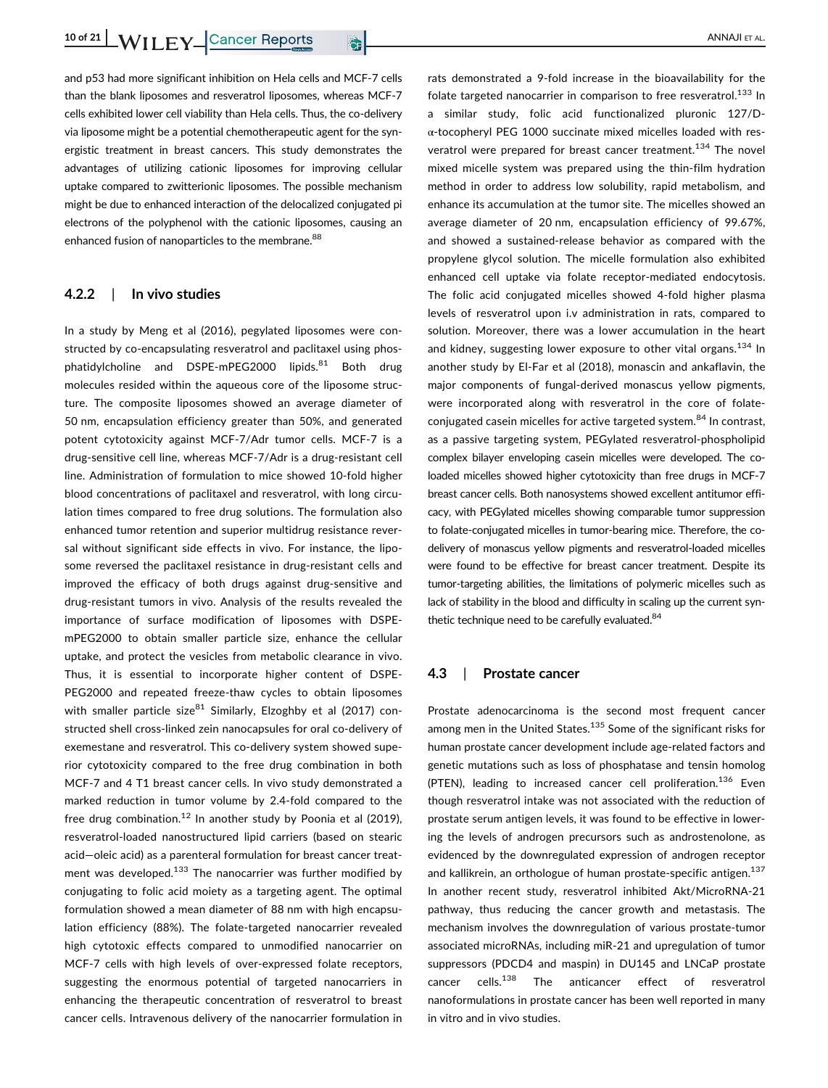and p53 had more significant inhibition on Hela cells and MCF-7 cells than the blank liposomes and resveratrol liposomes, whereas MCF-7 cells exhibited lower cell viability than Hela cells. Thus, the co-delivery via liposome might be a potential chemotherapeutic agent for the synergistic treatment in breast cancers. This study demonstrates the advantages of utilizing cationic liposomes for improving cellular uptake compared to zwitterionic liposomes. The possible mechanism might be due to enhanced interaction of the delocalized conjugated pi electrons of the polyphenol with the cationic liposomes, causing an enhanced fusion of nanoparticles to the membrane.<sup>88</sup>

#### 4.2.2 | In vivo studies

In a study by Meng et al (2016), pegylated liposomes were constructed by co-encapsulating resveratrol and paclitaxel using phosphatidylcholine and DSPE-mPEG2000 lipids.<sup>81</sup> Both drug molecules resided within the aqueous core of the liposome structure. The composite liposomes showed an average diameter of 50 nm, encapsulation efficiency greater than 50%, and generated potent cytotoxicity against MCF-7/Adr tumor cells. MCF-7 is a drug-sensitive cell line, whereas MCF-7/Adr is a drug-resistant cell line. Administration of formulation to mice showed 10-fold higher blood concentrations of paclitaxel and resveratrol, with long circulation times compared to free drug solutions. The formulation also enhanced tumor retention and superior multidrug resistance reversal without significant side effects in vivo. For instance, the liposome reversed the paclitaxel resistance in drug-resistant cells and improved the efficacy of both drugs against drug-sensitive and drug-resistant tumors in vivo. Analysis of the results revealed the importance of surface modification of liposomes with DSPEmPEG2000 to obtain smaller particle size, enhance the cellular uptake, and protect the vesicles from metabolic clearance in vivo. Thus, it is essential to incorporate higher content of DSPE-PEG2000 and repeated freeze-thaw cycles to obtain liposomes with smaller particle size<sup>81</sup> Similarly, Elzoghby et al (2017) constructed shell cross-linked zein nanocapsules for oral co-delivery of exemestane and resveratrol. This co-delivery system showed superior cytotoxicity compared to the free drug combination in both MCF-7 and 4 T1 breast cancer cells. In vivo study demonstrated a marked reduction in tumor volume by 2.4-fold compared to the free drug combination.<sup>12</sup> In another study by Poonia et al (2019), resveratrol-loaded nanostructured lipid carriers (based on stearic acid—oleic acid) as a parenteral formulation for breast cancer treatment was developed.<sup>133</sup> The nanocarrier was further modified by conjugating to folic acid moiety as a targeting agent. The optimal formulation showed a mean diameter of 88 nm with high encapsulation efficiency (88%). The folate-targeted nanocarrier revealed high cytotoxic effects compared to unmodified nanocarrier on MCF-7 cells with high levels of over-expressed folate receptors, suggesting the enormous potential of targeted nanocarriers in enhancing the therapeutic concentration of resveratrol to breast cancer cells. Intravenous delivery of the nanocarrier formulation in rats demonstrated a 9-fold increase in the bioavailability for the folate targeted nanocarrier in comparison to free resveratrol.<sup>133</sup> In a similar study, folic acid functionalized pluronic 127/Dα-tocopheryl PEG 1000 succinate mixed micelles loaded with resveratrol were prepared for breast cancer treatment.<sup>134</sup> The novel mixed micelle system was prepared using the thin-film hydration method in order to address low solubility, rapid metabolism, and enhance its accumulation at the tumor site. The micelles showed an average diameter of 20 nm, encapsulation efficiency of 99.67%, and showed a sustained-release behavior as compared with the propylene glycol solution. The micelle formulation also exhibited enhanced cell uptake via folate receptor-mediated endocytosis. The folic acid conjugated micelles showed 4-fold higher plasma levels of resveratrol upon i.v administration in rats, compared to solution. Moreover, there was a lower accumulation in the heart and kidney, suggesting lower exposure to other vital organs.<sup>134</sup> In another study by El-Far et al (2018), monascin and ankaflavin, the major components of fungal-derived monascus yellow pigments, were incorporated along with resveratrol in the core of folateconjugated casein micelles for active targeted system.<sup>84</sup> In contrast, as a passive targeting system, PEGylated resveratrol-phospholipid complex bilayer enveloping casein micelles were developed. The coloaded micelles showed higher cytotoxicity than free drugs in MCF-7 breast cancer cells. Both nanosystems showed excellent antitumor efficacy, with PEGylated micelles showing comparable tumor suppression to folate-conjugated micelles in tumor-bearing mice. Therefore, the codelivery of monascus yellow pigments and resveratrol-loaded micelles were found to be effective for breast cancer treatment. Despite its tumor-targeting abilities, the limitations of polymeric micelles such as lack of stability in the blood and difficulty in scaling up the current synthetic technique need to be carefully evaluated.<sup>84</sup>

#### 4.3 | Prostate cancer

Prostate adenocarcinoma is the second most frequent cancer among men in the United States.<sup>135</sup> Some of the significant risks for human prostate cancer development include age-related factors and genetic mutations such as loss of phosphatase and tensin homolog (PTEN), leading to increased cancer cell proliferation.<sup>136</sup> Even though resveratrol intake was not associated with the reduction of prostate serum antigen levels, it was found to be effective in lowering the levels of androgen precursors such as androstenolone, as evidenced by the downregulated expression of androgen receptor and kallikrein, an orthologue of human prostate-specific antigen.<sup>137</sup> In another recent study, resveratrol inhibited Akt/MicroRNA-21 pathway, thus reducing the cancer growth and metastasis. The mechanism involves the downregulation of various prostate-tumor associated microRNAs, including miR-21 and upregulation of tumor suppressors (PDCD4 and maspin) in DU145 and LNCaP prostate cancer cells.<sup>138</sup> The anticancer effect of resveratrol nanoformulations in prostate cancer has been well reported in many in vitro and in vivo studies.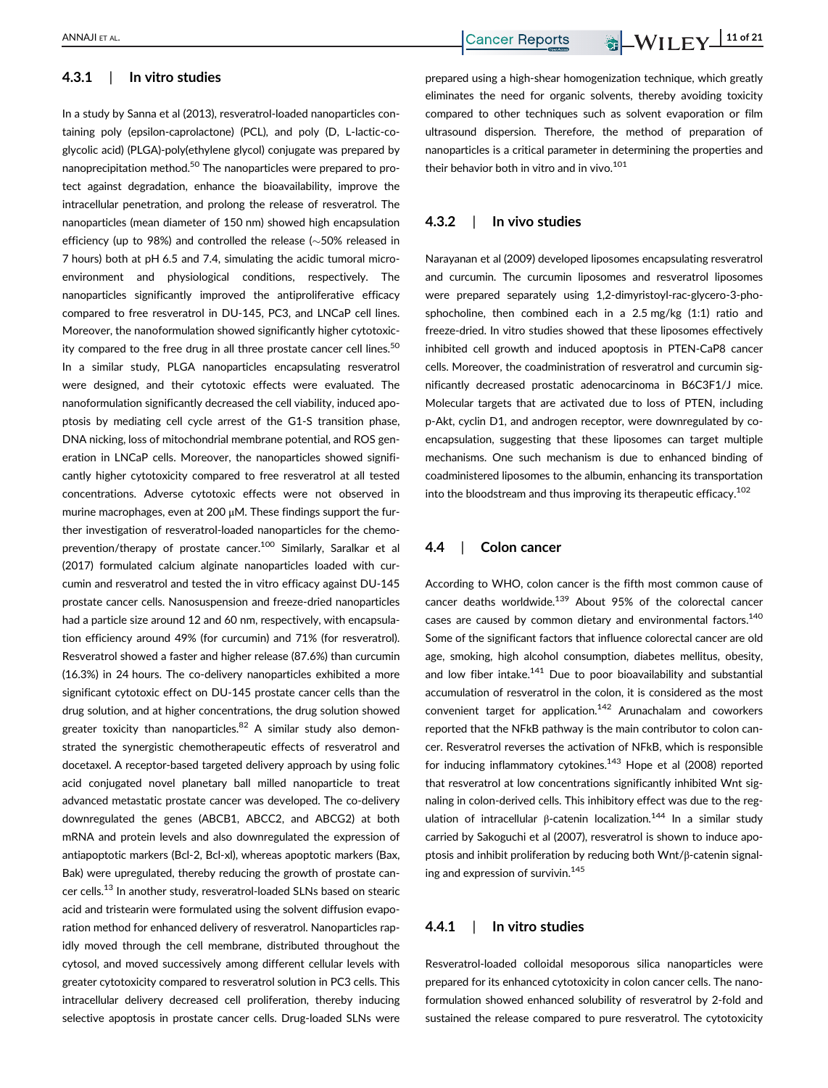#### 4.3.1 | In vitro studies

In a study by Sanna et al (2013), resveratrol-loaded nanoparticles containing poly (epsilon-caprolactone) (PCL), and poly (D, L-lactic-coglycolic acid) (PLGA)-poly(ethylene glycol) conjugate was prepared by nanoprecipitation method.<sup>50</sup> The nanoparticles were prepared to protect against degradation, enhance the bioavailability, improve the intracellular penetration, and prolong the release of resveratrol. The nanoparticles (mean diameter of 150 nm) showed high encapsulation efficiency (up to 98%) and controlled the release ( $\sim$  50% released in 7 hours) both at pH 6.5 and 7.4, simulating the acidic tumoral microenvironment and physiological conditions, respectively. The nanoparticles significantly improved the antiproliferative efficacy compared to free resveratrol in DU-145, PC3, and LNCaP cell lines. Moreover, the nanoformulation showed significantly higher cytotoxicity compared to the free drug in all three prostate cancer cell lines.<sup>50</sup> In a similar study, PLGA nanoparticles encapsulating resveratrol were designed, and their cytotoxic effects were evaluated. The nanoformulation significantly decreased the cell viability, induced apoptosis by mediating cell cycle arrest of the G1-S transition phase, DNA nicking, loss of mitochondrial membrane potential, and ROS generation in LNCaP cells. Moreover, the nanoparticles showed significantly higher cytotoxicity compared to free resveratrol at all tested concentrations. Adverse cytotoxic effects were not observed in murine macrophages, even at 200 μM. These findings support the further investigation of resveratrol-loaded nanoparticles for the chemoprevention/therapy of prostate cancer.<sup>100</sup> Similarly, Saralkar et al (2017) formulated calcium alginate nanoparticles loaded with curcumin and resveratrol and tested the in vitro efficacy against DU-145 prostate cancer cells. Nanosuspension and freeze-dried nanoparticles had a particle size around 12 and 60 nm, respectively, with encapsulation efficiency around 49% (for curcumin) and 71% (for resveratrol). Resveratrol showed a faster and higher release (87.6%) than curcumin (16.3%) in 24 hours. The co-delivery nanoparticles exhibited a more significant cytotoxic effect on DU-145 prostate cancer cells than the drug solution, and at higher concentrations, the drug solution showed greater toxicity than nanoparticles.<sup>82</sup> A similar study also demonstrated the synergistic chemotherapeutic effects of resveratrol and docetaxel. A receptor-based targeted delivery approach by using folic acid conjugated novel planetary ball milled nanoparticle to treat advanced metastatic prostate cancer was developed. The co-delivery downregulated the genes (ABCB1, ABCC2, and ABCG2) at both mRNA and protein levels and also downregulated the expression of antiapoptotic markers (Bcl-2, Bcl-xl), whereas apoptotic markers (Bax, Bak) were upregulated, thereby reducing the growth of prostate cancer cells.<sup>13</sup> In another study, resveratrol-loaded SLNs based on stearic acid and tristearin were formulated using the solvent diffusion evaporation method for enhanced delivery of resveratrol. Nanoparticles rapidly moved through the cell membrane, distributed throughout the cytosol, and moved successively among different cellular levels with greater cytotoxicity compared to resveratrol solution in PC3 cells. This intracellular delivery decreased cell proliferation, thereby inducing selective apoptosis in prostate cancer cells. Drug-loaded SLNs were

prepared using a high-shear homogenization technique, which greatly eliminates the need for organic solvents, thereby avoiding toxicity compared to other techniques such as solvent evaporation or film ultrasound dispersion. Therefore, the method of preparation of nanoparticles is a critical parameter in determining the properties and their behavior both in vitro and in vivo. $101$ 

#### 4.3.2 | In vivo studies

Narayanan et al (2009) developed liposomes encapsulating resveratrol and curcumin. The curcumin liposomes and resveratrol liposomes were prepared separately using 1,2-dimyristoyl-rac-glycero-3-phosphocholine, then combined each in a 2.5 mg/kg (1:1) ratio and freeze-dried. In vitro studies showed that these liposomes effectively inhibited cell growth and induced apoptosis in PTEN-CaP8 cancer cells. Moreover, the coadministration of resveratrol and curcumin significantly decreased prostatic adenocarcinoma in B6C3F1/J mice. Molecular targets that are activated due to loss of PTEN, including p-Akt, cyclin D1, and androgen receptor, were downregulated by coencapsulation, suggesting that these liposomes can target multiple mechanisms. One such mechanism is due to enhanced binding of coadministered liposomes to the albumin, enhancing its transportation into the bloodstream and thus improving its therapeutic efficacy.<sup>102</sup>

#### 4.4 | Colon cancer

According to WHO, colon cancer is the fifth most common cause of cancer deaths worldwide.<sup>139</sup> About 95% of the colorectal cancer cases are caused by common dietary and environmental factors.<sup>140</sup> Some of the significant factors that influence colorectal cancer are old age, smoking, high alcohol consumption, diabetes mellitus, obesity, and low fiber intake.<sup>141</sup> Due to poor bioavailability and substantial accumulation of resveratrol in the colon, it is considered as the most convenient target for application.<sup>142</sup> Arunachalam and coworkers reported that the NFkB pathway is the main contributor to colon cancer. Resveratrol reverses the activation of NFkB, which is responsible for inducing inflammatory cytokines.<sup>143</sup> Hope et al (2008) reported that resveratrol at low concentrations significantly inhibited Wnt signaling in colon-derived cells. This inhibitory effect was due to the regulation of intracellular β-catenin localization.<sup>144</sup> In a similar study carried by Sakoguchi et al (2007), resveratrol is shown to induce apoptosis and inhibit proliferation by reducing both Wnt/β-catenin signaling and expression of survivin.<sup>145</sup>

#### 4.4.1 | In vitro studies

Resveratrol-loaded colloidal mesoporous silica nanoparticles were prepared for its enhanced cytotoxicity in colon cancer cells. The nanoformulation showed enhanced solubility of resveratrol by 2-fold and sustained the release compared to pure resveratrol. The cytotoxicity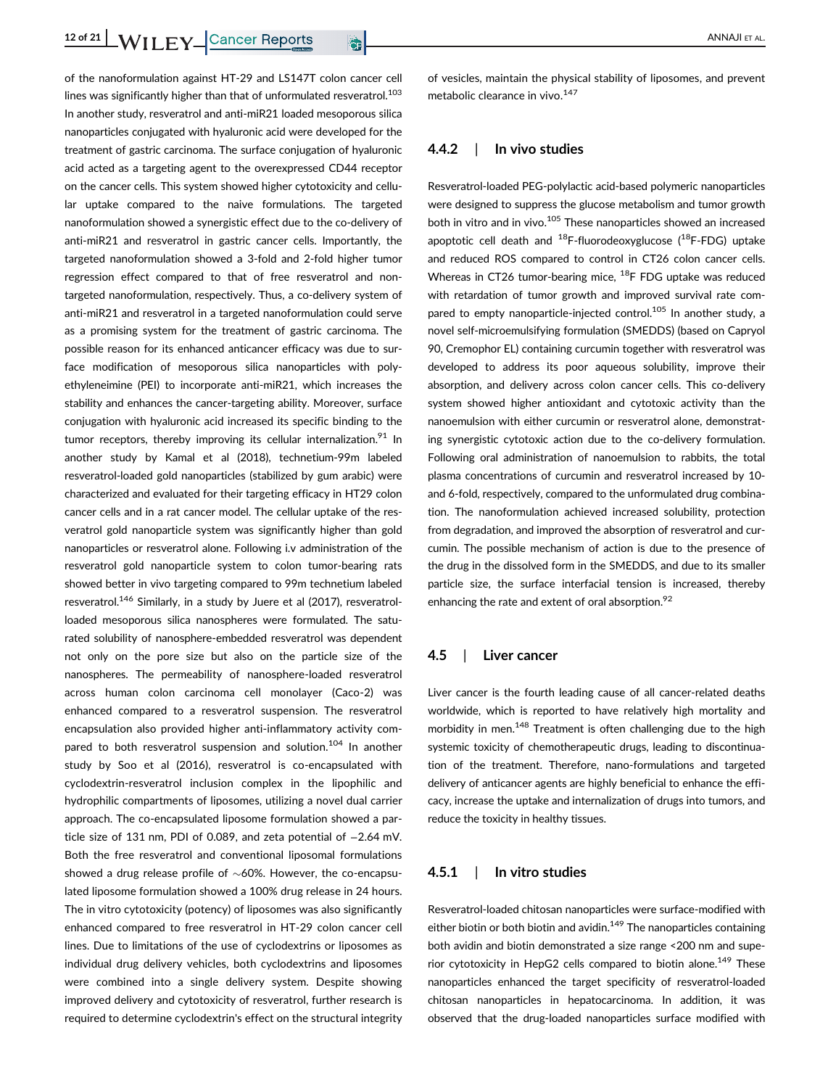of the nanoformulation against HT-29 and LS147T colon cancer cell lines was significantly higher than that of unformulated resveratrol.<sup>103</sup> In another study, resveratrol and anti-miR21 loaded mesoporous silica nanoparticles conjugated with hyaluronic acid were developed for the treatment of gastric carcinoma. The surface conjugation of hyaluronic acid acted as a targeting agent to the overexpressed CD44 receptor on the cancer cells. This system showed higher cytotoxicity and cellular uptake compared to the naive formulations. The targeted nanoformulation showed a synergistic effect due to the co-delivery of anti-miR21 and resveratrol in gastric cancer cells. Importantly, the targeted nanoformulation showed a 3-fold and 2-fold higher tumor regression effect compared to that of free resveratrol and nontargeted nanoformulation, respectively. Thus, a co-delivery system of anti-miR21 and resveratrol in a targeted nanoformulation could serve as a promising system for the treatment of gastric carcinoma. The possible reason for its enhanced anticancer efficacy was due to surface modification of mesoporous silica nanoparticles with polyethyleneimine (PEI) to incorporate anti-miR21, which increases the stability and enhances the cancer-targeting ability. Moreover, surface conjugation with hyaluronic acid increased its specific binding to the tumor receptors, thereby improving its cellular internalization.<sup>91</sup> In another study by Kamal et al (2018), technetium-99m labeled resveratrol-loaded gold nanoparticles (stabilized by gum arabic) were characterized and evaluated for their targeting efficacy in HT29 colon cancer cells and in a rat cancer model. The cellular uptake of the resveratrol gold nanoparticle system was significantly higher than gold nanoparticles or resveratrol alone. Following i.v administration of the resveratrol gold nanoparticle system to colon tumor-bearing rats showed better in vivo targeting compared to 99m technetium labeled resveratrol.<sup>146</sup> Similarly, in a study by Juere et al (2017), resveratrolloaded mesoporous silica nanospheres were formulated. The saturated solubility of nanosphere-embedded resveratrol was dependent not only on the pore size but also on the particle size of the nanospheres. The permeability of nanosphere-loaded resveratrol across human colon carcinoma cell monolayer (Caco-2) was enhanced compared to a resveratrol suspension. The resveratrol encapsulation also provided higher anti-inflammatory activity compared to both resveratrol suspension and solution.<sup>104</sup> In another study by Soo et al (2016), resveratrol is co-encapsulated with cyclodextrin-resveratrol inclusion complex in the lipophilic and hydrophilic compartments of liposomes, utilizing a novel dual carrier approach. The co-encapsulated liposome formulation showed a particle size of 131 nm, PDI of 0.089, and zeta potential of −2.64 mV. Both the free resveratrol and conventional liposomal formulations showed a drug release profile of  $\sim$  60%. However, the co-encapsulated liposome formulation showed a 100% drug release in 24 hours. The in vitro cytotoxicity (potency) of liposomes was also significantly enhanced compared to free resveratrol in HT-29 colon cancer cell lines. Due to limitations of the use of cyclodextrins or liposomes as individual drug delivery vehicles, both cyclodextrins and liposomes were combined into a single delivery system. Despite showing improved delivery and cytotoxicity of resveratrol, further research is required to determine cyclodextrin's effect on the structural integrity

of vesicles, maintain the physical stability of liposomes, and prevent metabolic clearance in vivo.<sup>147</sup>

#### 4.4.2 | In vivo studies

Resveratrol-loaded PEG-polylactic acid-based polymeric nanoparticles were designed to suppress the glucose metabolism and tumor growth both in vitro and in vivo.<sup>105</sup> These nanoparticles showed an increased apoptotic cell death and  $^{18}$ F-fluorodeoxyglucose ( $^{18}$ F-FDG) uptake and reduced ROS compared to control in CT26 colon cancer cells. Whereas in CT26 tumor-bearing mice,  $^{18}$ F FDG uptake was reduced with retardation of tumor growth and improved survival rate compared to empty nanoparticle-injected control.<sup>105</sup> In another study, a novel self-microemulsifying formulation (SMEDDS) (based on Capryol 90, Cremophor EL) containing curcumin together with resveratrol was developed to address its poor aqueous solubility, improve their absorption, and delivery across colon cancer cells. This co-delivery system showed higher antioxidant and cytotoxic activity than the nanoemulsion with either curcumin or resveratrol alone, demonstrating synergistic cytotoxic action due to the co-delivery formulation. Following oral administration of nanoemulsion to rabbits, the total plasma concentrations of curcumin and resveratrol increased by 10 and 6-fold, respectively, compared to the unformulated drug combination. The nanoformulation achieved increased solubility, protection from degradation, and improved the absorption of resveratrol and curcumin. The possible mechanism of action is due to the presence of the drug in the dissolved form in the SMEDDS, and due to its smaller particle size, the surface interfacial tension is increased, thereby enhancing the rate and extent of oral absorption.<sup>92</sup>

#### 4.5 | Liver cancer

Liver cancer is the fourth leading cause of all cancer-related deaths worldwide, which is reported to have relatively high mortality and morbidity in men.<sup>148</sup> Treatment is often challenging due to the high systemic toxicity of chemotherapeutic drugs, leading to discontinuation of the treatment. Therefore, nano-formulations and targeted delivery of anticancer agents are highly beneficial to enhance the efficacy, increase the uptake and internalization of drugs into tumors, and reduce the toxicity in healthy tissues.

#### 4.5.1 | In vitro studies

Resveratrol-loaded chitosan nanoparticles were surface-modified with either biotin or both biotin and avidin. $149$  The nanoparticles containing both avidin and biotin demonstrated a size range <200 nm and superior cytotoxicity in HepG2 cells compared to biotin alone.<sup>149</sup> These nanoparticles enhanced the target specificity of resveratrol-loaded chitosan nanoparticles in hepatocarcinoma. In addition, it was observed that the drug-loaded nanoparticles surface modified with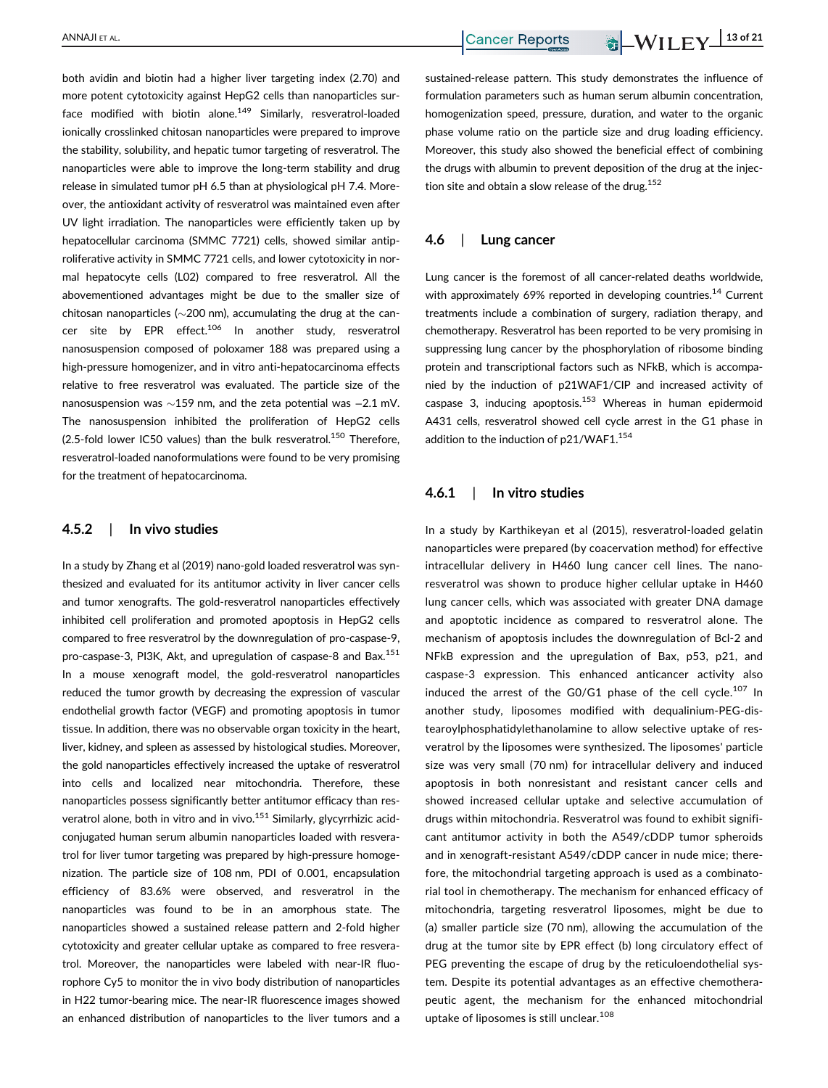both avidin and biotin had a higher liver targeting index (2.70) and more potent cytotoxicity against HepG2 cells than nanoparticles surface modified with biotin alone.<sup>149</sup> Similarly, resveratrol-loaded ionically crosslinked chitosan nanoparticles were prepared to improve the stability, solubility, and hepatic tumor targeting of resveratrol. The nanoparticles were able to improve the long-term stability and drug release in simulated tumor pH 6.5 than at physiological pH 7.4. Moreover, the antioxidant activity of resveratrol was maintained even after UV light irradiation. The nanoparticles were efficiently taken up by hepatocellular carcinoma (SMMC 7721) cells, showed similar antiproliferative activity in SMMC 7721 cells, and lower cytotoxicity in normal hepatocyte cells (L02) compared to free resveratrol. All the abovementioned advantages might be due to the smaller size of chitosan nanoparticles ( $\sim$ 200 nm), accumulating the drug at the cancer site by EPR effect.<sup>106</sup> In another study, resveratrol nanosuspension composed of poloxamer 188 was prepared using a high-pressure homogenizer, and in vitro anti-hepatocarcinoma effects relative to free resveratrol was evaluated. The particle size of the nanosuspension was ~159 nm, and the zeta potential was −2.1 mV. The nanosuspension inhibited the proliferation of HepG2 cells (2.5-fold lower IC50 values) than the bulk resveratrol.<sup>150</sup> Therefore, resveratrol-loaded nanoformulations were found to be very promising for the treatment of hepatocarcinoma.

## 4.5.2 | In vivo studies

In a study by Zhang et al (2019) nano-gold loaded resveratrol was synthesized and evaluated for its antitumor activity in liver cancer cells and tumor xenografts. The gold-resveratrol nanoparticles effectively inhibited cell proliferation and promoted apoptosis in HepG2 cells compared to free resveratrol by the downregulation of pro-caspase-9, pro-caspase-3, PI3K, Akt, and upregulation of caspase-8 and Bax.<sup>151</sup> In a mouse xenograft model, the gold-resveratrol nanoparticles reduced the tumor growth by decreasing the expression of vascular endothelial growth factor (VEGF) and promoting apoptosis in tumor tissue. In addition, there was no observable organ toxicity in the heart, liver, kidney, and spleen as assessed by histological studies. Moreover, the gold nanoparticles effectively increased the uptake of resveratrol into cells and localized near mitochondria. Therefore, these nanoparticles possess significantly better antitumor efficacy than resveratrol alone, both in vitro and in vivo.<sup>151</sup> Similarly, glycyrrhizic acidconjugated human serum albumin nanoparticles loaded with resveratrol for liver tumor targeting was prepared by high-pressure homogenization. The particle size of 108 nm, PDI of 0.001, encapsulation efficiency of 83.6% were observed, and resveratrol in the nanoparticles was found to be in an amorphous state. The nanoparticles showed a sustained release pattern and 2-fold higher cytotoxicity and greater cellular uptake as compared to free resveratrol. Moreover, the nanoparticles were labeled with near-IR fluorophore Cy5 to monitor the in vivo body distribution of nanoparticles in H22 tumor-bearing mice. The near-IR fluorescence images showed an enhanced distribution of nanoparticles to the liver tumors and a sustained-release pattern. This study demonstrates the influence of formulation parameters such as human serum albumin concentration, homogenization speed, pressure, duration, and water to the organic phase volume ratio on the particle size and drug loading efficiency. Moreover, this study also showed the beneficial effect of combining the drugs with albumin to prevent deposition of the drug at the injection site and obtain a slow release of the drug.<sup>152</sup>

#### 4.6 | Lung cancer

Lung cancer is the foremost of all cancer-related deaths worldwide, with approximately 69% reported in developing countries.<sup>14</sup> Current treatments include a combination of surgery, radiation therapy, and chemotherapy. Resveratrol has been reported to be very promising in suppressing lung cancer by the phosphorylation of ribosome binding protein and transcriptional factors such as NFkB, which is accompanied by the induction of p21WAF1/CIP and increased activity of caspase 3, inducing apoptosis.<sup>153</sup> Whereas in human epidermoid A431 cells, resveratrol showed cell cycle arrest in the G1 phase in addition to the induction of p21/WAF1.<sup>154</sup>

#### 4.6.1 | In vitro studies

In a study by Karthikeyan et al (2015), resveratrol-loaded gelatin nanoparticles were prepared (by coacervation method) for effective intracellular delivery in H460 lung cancer cell lines. The nanoresveratrol was shown to produce higher cellular uptake in H460 lung cancer cells, which was associated with greater DNA damage and apoptotic incidence as compared to resveratrol alone. The mechanism of apoptosis includes the downregulation of Bcl-2 and NFkB expression and the upregulation of Bax, p53, p21, and caspase-3 expression. This enhanced anticancer activity also induced the arrest of the G0/G1 phase of the cell cycle.<sup>107</sup> In another study, liposomes modified with dequalinium-PEG-distearoylphosphatidylethanolamine to allow selective uptake of resveratrol by the liposomes were synthesized. The liposomes' particle size was very small (70 nm) for intracellular delivery and induced apoptosis in both nonresistant and resistant cancer cells and showed increased cellular uptake and selective accumulation of drugs within mitochondria. Resveratrol was found to exhibit significant antitumor activity in both the A549/cDDP tumor spheroids and in xenograft-resistant A549/cDDP cancer in nude mice; therefore, the mitochondrial targeting approach is used as a combinatorial tool in chemotherapy. The mechanism for enhanced efficacy of mitochondria, targeting resveratrol liposomes, might be due to (a) smaller particle size (70 nm), allowing the accumulation of the drug at the tumor site by EPR effect (b) long circulatory effect of PEG preventing the escape of drug by the reticuloendothelial system. Despite its potential advantages as an effective chemotherapeutic agent, the mechanism for the enhanced mitochondrial uptake of liposomes is still unclear.<sup>108</sup>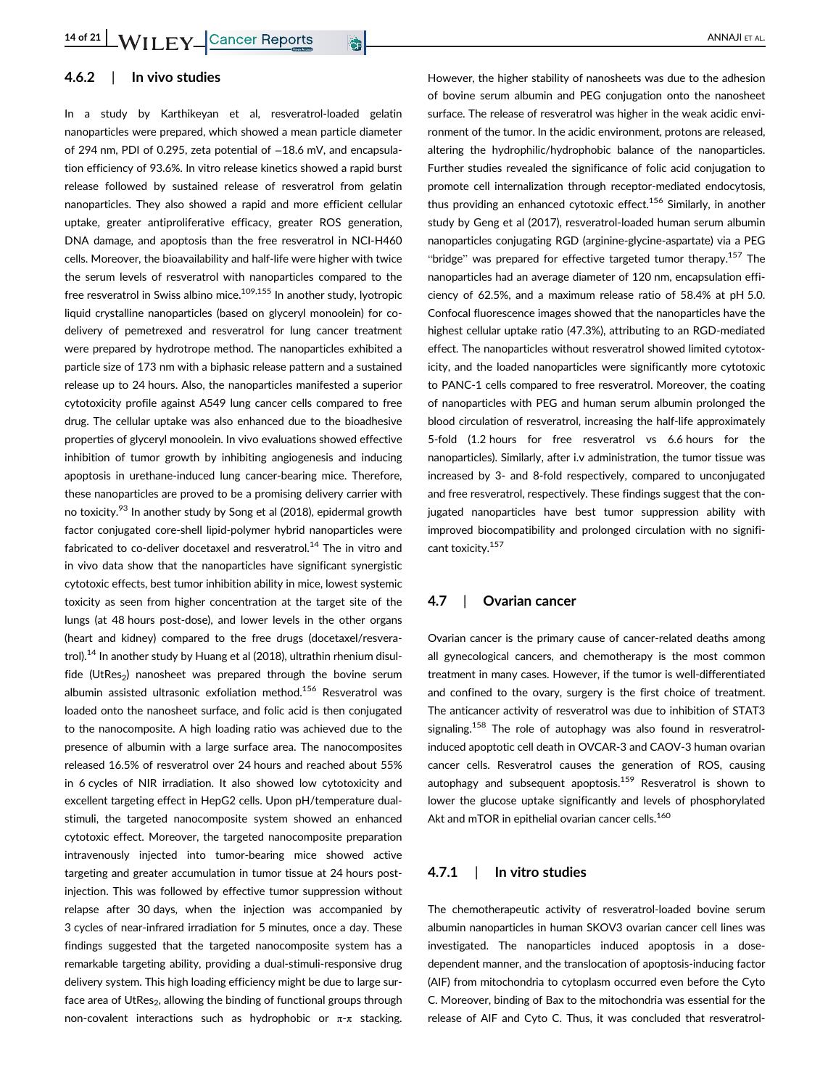### 4.6.2 | In vivo studies

In a study by Karthikeyan et al, resveratrol-loaded gelatin nanoparticles were prepared, which showed a mean particle diameter of 294 nm, PDI of 0.295, zeta potential of -18.6 mV, and encapsulation efficiency of 93.6%. In vitro release kinetics showed a rapid burst release followed by sustained release of resveratrol from gelatin nanoparticles. They also showed a rapid and more efficient cellular uptake, greater antiproliferative efficacy, greater ROS generation, DNA damage, and apoptosis than the free resveratrol in NCI-H460 cells. Moreover, the bioavailability and half-life were higher with twice the serum levels of resveratrol with nanoparticles compared to the free resveratrol in Swiss albino mice.<sup>109,155</sup> In another study, lyotropic liquid crystalline nanoparticles (based on glyceryl monoolein) for codelivery of pemetrexed and resveratrol for lung cancer treatment were prepared by hydrotrope method. The nanoparticles exhibited a particle size of 173 nm with a biphasic release pattern and a sustained release up to 24 hours. Also, the nanoparticles manifested a superior cytotoxicity profile against A549 lung cancer cells compared to free drug. The cellular uptake was also enhanced due to the bioadhesive properties of glyceryl monoolein. In vivo evaluations showed effective inhibition of tumor growth by inhibiting angiogenesis and inducing apoptosis in urethane-induced lung cancer-bearing mice. Therefore, these nanoparticles are proved to be a promising delivery carrier with no toxicity.<sup>93</sup> In another study by Song et al (2018), epidermal growth factor conjugated core-shell lipid-polymer hybrid nanoparticles were fabricated to co-deliver docetaxel and resveratrol.<sup>14</sup> The in vitro and in vivo data show that the nanoparticles have significant synergistic cytotoxic effects, best tumor inhibition ability in mice, lowest systemic toxicity as seen from higher concentration at the target site of the lungs (at 48 hours post-dose), and lower levels in the other organs (heart and kidney) compared to the free drugs (docetaxel/resveratrol).<sup>14</sup> In another study by Huang et al (2018), ultrathin rhenium disulfide (UtRes<sub>2</sub>) nanosheet was prepared through the bovine serum albumin assisted ultrasonic exfoliation method.<sup>156</sup> Resveratrol was loaded onto the nanosheet surface, and folic acid is then conjugated to the nanocomposite. A high loading ratio was achieved due to the presence of albumin with a large surface area. The nanocomposites released 16.5% of resveratrol over 24 hours and reached about 55% in 6 cycles of NIR irradiation. It also showed low cytotoxicity and excellent targeting effect in HepG2 cells. Upon pH/temperature dualstimuli, the targeted nanocomposite system showed an enhanced cytotoxic effect. Moreover, the targeted nanocomposite preparation intravenously injected into tumor-bearing mice showed active targeting and greater accumulation in tumor tissue at 24 hours postinjection. This was followed by effective tumor suppression without relapse after 30 days, when the injection was accompanied by 3 cycles of near-infrared irradiation for 5 minutes, once a day. These findings suggested that the targeted nanocomposite system has a remarkable targeting ability, providing a dual-stimuli-responsive drug delivery system. This high loading efficiency might be due to large surface area of UtRes<sub>2</sub>, allowing the binding of functional groups through non-covalent interactions such as hydrophobic or  $π$ -π stacking.

However, the higher stability of nanosheets was due to the adhesion of bovine serum albumin and PEG conjugation onto the nanosheet surface. The release of resveratrol was higher in the weak acidic environment of the tumor. In the acidic environment, protons are released, altering the hydrophilic/hydrophobic balance of the nanoparticles. Further studies revealed the significance of folic acid conjugation to promote cell internalization through receptor-mediated endocytosis, thus providing an enhanced cytotoxic effect.<sup>156</sup> Similarly, in another study by Geng et al (2017), resveratrol-loaded human serum albumin nanoparticles conjugating RGD (arginine-glycine-aspartate) via a PEG "bridge" was prepared for effective targeted tumor therapy.<sup>157</sup> The nanoparticles had an average diameter of 120 nm, encapsulation efficiency of 62.5%, and a maximum release ratio of 58.4% at pH 5.0. Confocal fluorescence images showed that the nanoparticles have the highest cellular uptake ratio (47.3%), attributing to an RGD-mediated effect. The nanoparticles without resveratrol showed limited cytotoxicity, and the loaded nanoparticles were significantly more cytotoxic to PANC-1 cells compared to free resveratrol. Moreover, the coating of nanoparticles with PEG and human serum albumin prolonged the blood circulation of resveratrol, increasing the half-life approximately 5-fold (1.2 hours for free resveratrol vs 6.6 hours for the nanoparticles). Similarly, after i.v administration, the tumor tissue was increased by 3- and 8-fold respectively, compared to unconjugated and free resveratrol, respectively. These findings suggest that the conjugated nanoparticles have best tumor suppression ability with improved biocompatibility and prolonged circulation with no significant toxicity.<sup>157</sup>

#### 4.7 | Ovarian cancer

Ovarian cancer is the primary cause of cancer-related deaths among all gynecological cancers, and chemotherapy is the most common treatment in many cases. However, if the tumor is well-differentiated and confined to the ovary, surgery is the first choice of treatment. The anticancer activity of resveratrol was due to inhibition of STAT3 signaling.<sup>158</sup> The role of autophagy was also found in resveratrolinduced apoptotic cell death in OVCAR-3 and CAOV-3 human ovarian cancer cells. Resveratrol causes the generation of ROS, causing autophagy and subsequent apoptosis.<sup>159</sup> Resveratrol is shown to lower the glucose uptake significantly and levels of phosphorylated Akt and mTOR in epithelial ovarian cancer cells.<sup>160</sup>

#### 4.7.1 | In vitro studies

The chemotherapeutic activity of resveratrol-loaded bovine serum albumin nanoparticles in human SKOV3 ovarian cancer cell lines was investigated. The nanoparticles induced apoptosis in a dosedependent manner, and the translocation of apoptosis-inducing factor (AIF) from mitochondria to cytoplasm occurred even before the Cyto C. Moreover, binding of Bax to the mitochondria was essential for the release of AIF and Cyto C. Thus, it was concluded that resveratrol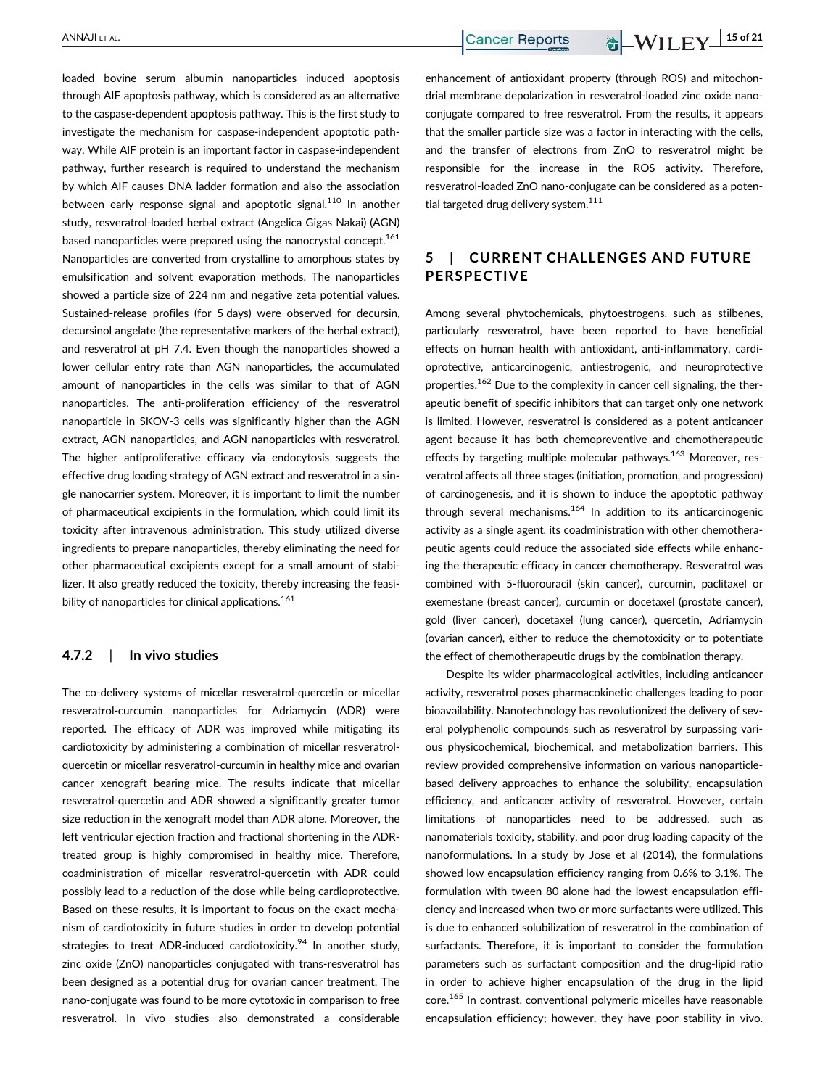loaded bovine serum albumin nanoparticles induced apoptosis through AIF apoptosis pathway, which is considered as an alternative to the caspase-dependent apoptosis pathway. This is the first study to investigate the mechanism for caspase-independent apoptotic pathway. While AIF protein is an important factor in caspase-independent pathway, further research is required to understand the mechanism by which AIF causes DNA ladder formation and also the association between early response signal and apoptotic signal.<sup>110</sup> In another study, resveratrol-loaded herbal extract (Angelica Gigas Nakai) (AGN) based nanoparticles were prepared using the nanocrystal concept.<sup>161</sup> Nanoparticles are converted from crystalline to amorphous states by emulsification and solvent evaporation methods. The nanoparticles showed a particle size of 224 nm and negative zeta potential values. Sustained-release profiles (for 5 days) were observed for decursin, decursinol angelate (the representative markers of the herbal extract), and resveratrol at pH 7.4. Even though the nanoparticles showed a lower cellular entry rate than AGN nanoparticles, the accumulated amount of nanoparticles in the cells was similar to that of AGN nanoparticles. The anti-proliferation efficiency of the resveratrol nanoparticle in SKOV-3 cells was significantly higher than the AGN extract, AGN nanoparticles, and AGN nanoparticles with resveratrol. The higher antiproliferative efficacy via endocytosis suggests the effective drug loading strategy of AGN extract and resveratrol in a single nanocarrier system. Moreover, it is important to limit the number of pharmaceutical excipients in the formulation, which could limit its toxicity after intravenous administration. This study utilized diverse ingredients to prepare nanoparticles, thereby eliminating the need for other pharmaceutical excipients except for a small amount of stabilizer. It also greatly reduced the toxicity, thereby increasing the feasibility of nanoparticles for clinical applications.<sup>161</sup>

#### 4.7.2 | In vivo studies

The co-delivery systems of micellar resveratrol-quercetin or micellar resveratrol-curcumin nanoparticles for Adriamycin (ADR) were reported. The efficacy of ADR was improved while mitigating its cardiotoxicity by administering a combination of micellar resveratrolquercetin or micellar resveratrol-curcumin in healthy mice and ovarian cancer xenograft bearing mice. The results indicate that micellar resveratrol-quercetin and ADR showed a significantly greater tumor size reduction in the xenograft model than ADR alone. Moreover, the left ventricular ejection fraction and fractional shortening in the ADRtreated group is highly compromised in healthy mice. Therefore, coadministration of micellar resveratrol-quercetin with ADR could possibly lead to a reduction of the dose while being cardioprotective. Based on these results, it is important to focus on the exact mechanism of cardiotoxicity in future studies in order to develop potential strategies to treat ADR-induced cardiotoxicity.<sup>94</sup> In another study, zinc oxide (ZnO) nanoparticles conjugated with trans-resveratrol has been designed as a potential drug for ovarian cancer treatment. The nano-conjugate was found to be more cytotoxic in comparison to free resveratrol. In vivo studies also demonstrated a considerable

enhancement of antioxidant property (through ROS) and mitochondrial membrane depolarization in resveratrol-loaded zinc oxide nanoconjugate compared to free resveratrol. From the results, it appears that the smaller particle size was a factor in interacting with the cells, and the transfer of electrons from ZnO to resveratrol might be responsible for the increase in the ROS activity. Therefore, resveratrol-loaded ZnO nano-conjugate can be considered as a potential targeted drug delivery system.<sup>111</sup>

# 5 | CURRENT CHALLENGES AND FUTURE PERSPECTIVE

Among several phytochemicals, phytoestrogens, such as stilbenes, particularly resveratrol, have been reported to have beneficial effects on human health with antioxidant, anti-inflammatory, cardioprotective, anticarcinogenic, antiestrogenic, and neuroprotective properties.<sup>162</sup> Due to the complexity in cancer cell signaling, the therapeutic benefit of specific inhibitors that can target only one network is limited. However, resveratrol is considered as a potent anticancer agent because it has both chemopreventive and chemotherapeutic effects by targeting multiple molecular pathways.<sup>163</sup> Moreover, resveratrol affects all three stages (initiation, promotion, and progression) of carcinogenesis, and it is shown to induce the apoptotic pathway through several mechanisms.<sup>164</sup> In addition to its anticarcinogenic activity as a single agent, its coadministration with other chemotherapeutic agents could reduce the associated side effects while enhancing the therapeutic efficacy in cancer chemotherapy. Resveratrol was combined with 5-fluorouracil (skin cancer), curcumin, paclitaxel or exemestane (breast cancer), curcumin or docetaxel (prostate cancer), gold (liver cancer), docetaxel (lung cancer), quercetin, Adriamycin (ovarian cancer), either to reduce the chemotoxicity or to potentiate the effect of chemotherapeutic drugs by the combination therapy.

Despite its wider pharmacological activities, including anticancer activity, resveratrol poses pharmacokinetic challenges leading to poor bioavailability. Nanotechnology has revolutionized the delivery of several polyphenolic compounds such as resveratrol by surpassing various physicochemical, biochemical, and metabolization barriers. This review provided comprehensive information on various nanoparticlebased delivery approaches to enhance the solubility, encapsulation efficiency, and anticancer activity of resveratrol. However, certain limitations of nanoparticles need to be addressed, such as nanomaterials toxicity, stability, and poor drug loading capacity of the nanoformulations. In a study by Jose et al (2014), the formulations showed low encapsulation efficiency ranging from 0.6% to 3.1%. The formulation with tween 80 alone had the lowest encapsulation efficiency and increased when two or more surfactants were utilized. This is due to enhanced solubilization of resveratrol in the combination of surfactants. Therefore, it is important to consider the formulation parameters such as surfactant composition and the drug-lipid ratio in order to achieve higher encapsulation of the drug in the lipid core.<sup>165</sup> In contrast, conventional polymeric micelles have reasonable encapsulation efficiency; however, they have poor stability in vivo.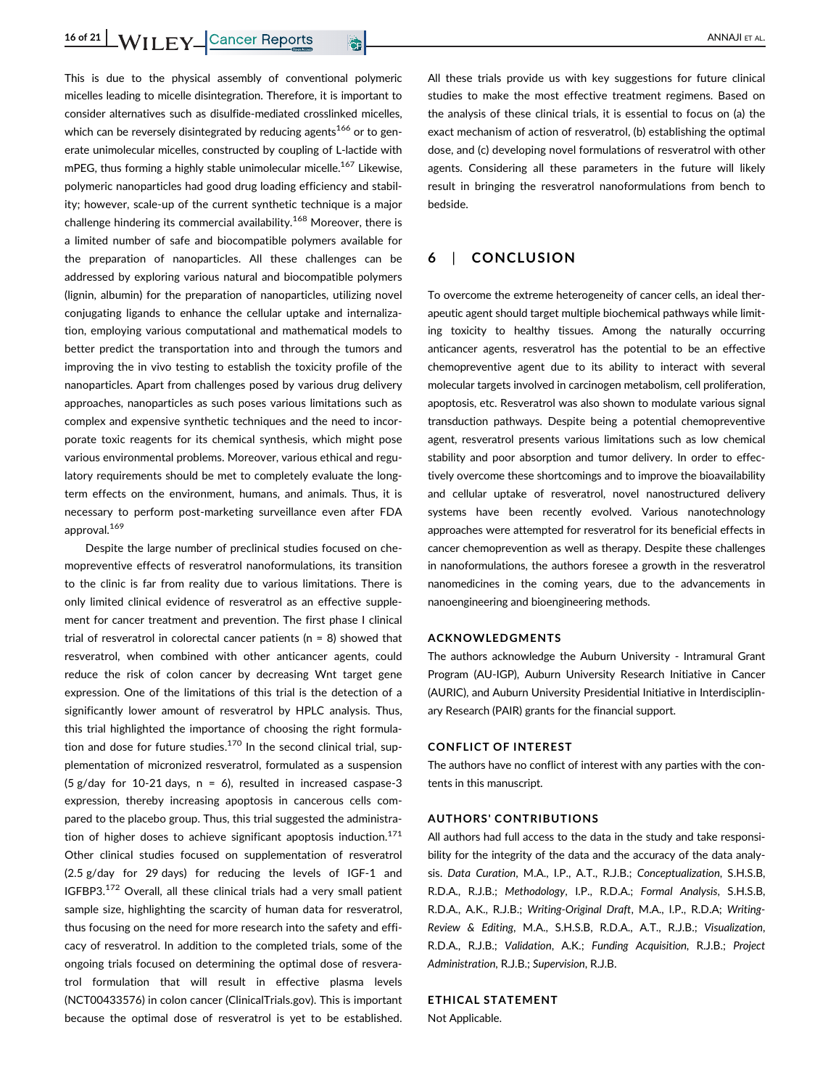This is due to the physical assembly of conventional polymeric micelles leading to micelle disintegration. Therefore, it is important to consider alternatives such as disulfide-mediated crosslinked micelles, which can be reversely disintegrated by reducing agents<sup>166</sup> or to generate unimolecular micelles, constructed by coupling of L-lactide with mPEG, thus forming a highly stable unimolecular micelle.<sup>167</sup> Likewise, polymeric nanoparticles had good drug loading efficiency and stability; however, scale-up of the current synthetic technique is a major challenge hindering its commercial availability.<sup>168</sup> Moreover, there is a limited number of safe and biocompatible polymers available for the preparation of nanoparticles. All these challenges can be addressed by exploring various natural and biocompatible polymers (lignin, albumin) for the preparation of nanoparticles, utilizing novel conjugating ligands to enhance the cellular uptake and internalization, employing various computational and mathematical models to better predict the transportation into and through the tumors and improving the in vivo testing to establish the toxicity profile of the nanoparticles. Apart from challenges posed by various drug delivery approaches, nanoparticles as such poses various limitations such as complex and expensive synthetic techniques and the need to incorporate toxic reagents for its chemical synthesis, which might pose various environmental problems. Moreover, various ethical and regulatory requirements should be met to completely evaluate the longterm effects on the environment, humans, and animals. Thus, it is necessary to perform post-marketing surveillance even after FDA approval.<sup>169</sup>

Despite the large number of preclinical studies focused on chemopreventive effects of resveratrol nanoformulations, its transition to the clinic is far from reality due to various limitations. There is only limited clinical evidence of resveratrol as an effective supplement for cancer treatment and prevention. The first phase I clinical trial of resveratrol in colorectal cancer patients (n = 8) showed that resveratrol, when combined with other anticancer agents, could reduce the risk of colon cancer by decreasing Wnt target gene expression. One of the limitations of this trial is the detection of a significantly lower amount of resveratrol by HPLC analysis. Thus, this trial highlighted the importance of choosing the right formulation and dose for future studies. $170$  In the second clinical trial, supplementation of micronized resveratrol, formulated as a suspension (5 g/day for 10-21 days,  $n = 6$ ), resulted in increased caspase-3 expression, thereby increasing apoptosis in cancerous cells compared to the placebo group. Thus, this trial suggested the administration of higher doses to achieve significant apoptosis induction. $171$ Other clinical studies focused on supplementation of resveratrol (2.5 g/day for 29 days) for reducing the levels of IGF-1 and IGFBP3.<sup>172</sup> Overall, all these clinical trials had a very small patient sample size, highlighting the scarcity of human data for resveratrol, thus focusing on the need for more research into the safety and efficacy of resveratrol. In addition to the completed trials, some of the ongoing trials focused on determining the optimal dose of resveratrol formulation that will result in effective plasma levels (NCT00433576) in colon cancer (ClinicalTrials.gov). This is important because the optimal dose of resveratrol is yet to be established.

All these trials provide us with key suggestions for future clinical studies to make the most effective treatment regimens. Based on the analysis of these clinical trials, it is essential to focus on (a) the exact mechanism of action of resveratrol, (b) establishing the optimal dose, and (c) developing novel formulations of resveratrol with other agents. Considering all these parameters in the future will likely result in bringing the resveratrol nanoformulations from bench to bedside.

# 6 | CONCLUSION

To overcome the extreme heterogeneity of cancer cells, an ideal therapeutic agent should target multiple biochemical pathways while limiting toxicity to healthy tissues. Among the naturally occurring anticancer agents, resveratrol has the potential to be an effective chemopreventive agent due to its ability to interact with several molecular targets involved in carcinogen metabolism, cell proliferation, apoptosis, etc. Resveratrol was also shown to modulate various signal transduction pathways. Despite being a potential chemopreventive agent, resveratrol presents various limitations such as low chemical stability and poor absorption and tumor delivery. In order to effectively overcome these shortcomings and to improve the bioavailability and cellular uptake of resveratrol, novel nanostructured delivery systems have been recently evolved. Various nanotechnology approaches were attempted for resveratrol for its beneficial effects in cancer chemoprevention as well as therapy. Despite these challenges in nanoformulations, the authors foresee a growth in the resveratrol nanomedicines in the coming years, due to the advancements in nanoengineering and bioengineering methods.

#### ACKNOWLEDGMENTS

The authors acknowledge the Auburn University - Intramural Grant Program (AU-IGP), Auburn University Research Initiative in Cancer (AURIC), and Auburn University Presidential Initiative in Interdisciplinary Research (PAIR) grants for the financial support.

#### CONFLICT OF INTEREST

The authors have no conflict of interest with any parties with the contents in this manuscript.

#### AUTHORS' CONTRIBUTIONS

All authors had full access to the data in the study and take responsibility for the integrity of the data and the accuracy of the data analysis. Data Curation, M.A., I.P., A.T., R.J.B.; Conceptualization, S.H.S.B, R.D.A., R.J.B.; Methodology, I.P., R.D.A.; Formal Analysis, S.H.S.B, R.D.A., A.K., R.J.B.; Writing-Original Draft, M.A., I.P., R.D.A; Writing-Review & Editing, M.A., S.H.S.B, R.D.A., A.T., R.J.B.; Visualization, R.D.A., R.J.B.; Validation, A.K.; Funding Acquisition, R.J.B.; Project Administration, R.J.B.; Supervision, R.J.B.

#### ETHICAL STATEMENT

Not Applicable.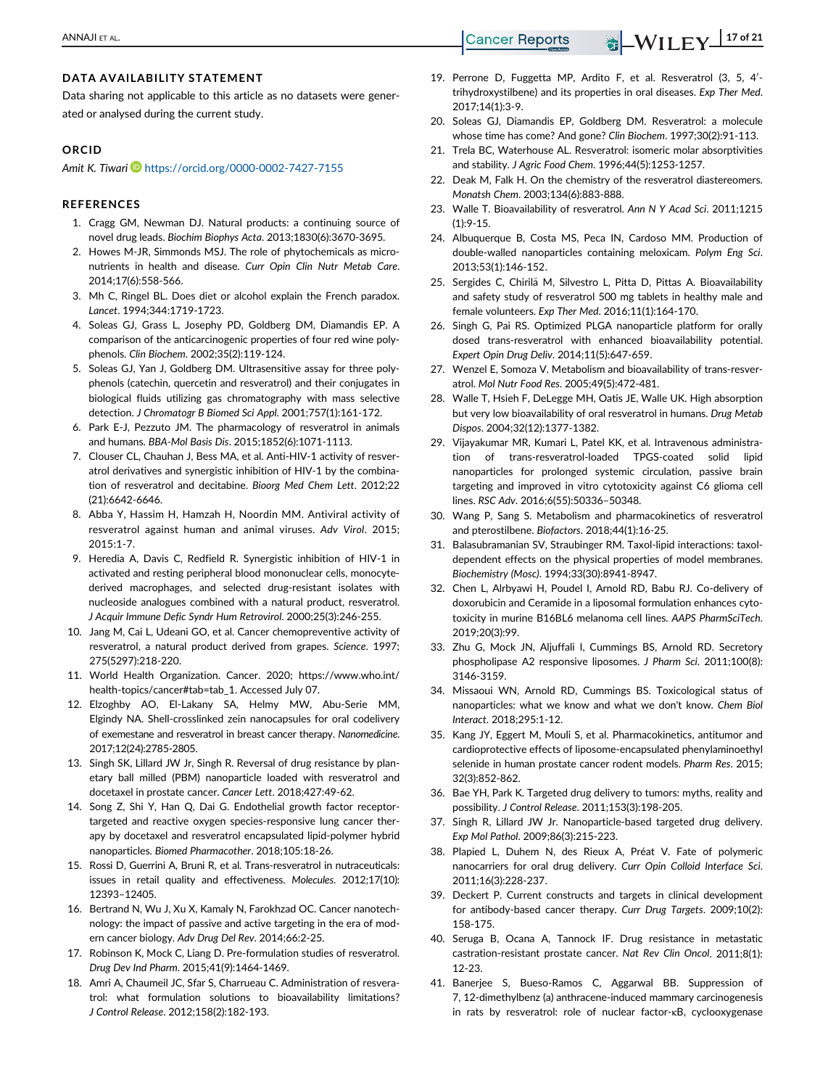### DATA AVAILABILITY STATEMENT

Data sharing not applicable to this article as no datasets were generated or analysed during the current study.

#### ORCID

Amit K. Tiwari https://orcid.org/0000-0002-7427-7155

#### **REFERENCES**

- 1. Cragg GM, Newman DJ. Natural products: a continuing source of novel drug leads. Biochim Biophys Acta. 2013;1830(6):3670-3695.
- 2. Howes M-JR, Simmonds MSJ. The role of phytochemicals as micronutrients in health and disease. Curr Opin Clin Nutr Metab Care. 2014;17(6):558-566.
- 3. Mh C, Ringel BL. Does diet or alcohol explain the French paradox. Lancet. 1994;344:1719-1723.
- 4. Soleas GJ, Grass L, Josephy PD, Goldberg DM, Diamandis EP. A comparison of the anticarcinogenic properties of four red wine polyphenols. Clin Biochem. 2002;35(2):119-124.
- 5. Soleas GJ, Yan J, Goldberg DM. Ultrasensitive assay for three polyphenols (catechin, quercetin and resveratrol) and their conjugates in biological fluids utilizing gas chromatography with mass selective detection. J Chromatogr B Biomed Sci Appl. 2001;757(1):161-172.
- 6. Park E-J, Pezzuto JM. The pharmacology of resveratrol in animals and humans. BBA-Mol Basis Dis. 2015;1852(6):1071-1113.
- 7. Clouser CL, Chauhan J, Bess MA, et al. Anti-HIV-1 activity of resveratrol derivatives and synergistic inhibition of HIV-1 by the combination of resveratrol and decitabine. Bioorg Med Chem Lett. 2012;22 (21):6642-6646.
- 8. Abba Y, Hassim H, Hamzah H, Noordin MM. Antiviral activity of resveratrol against human and animal viruses. Adv Virol. 2015; 2015:1-7.
- 9. Heredia A, Davis C, Redfield R. Synergistic inhibition of HIV-1 in activated and resting peripheral blood mononuclear cells, monocytederived macrophages, and selected drug-resistant isolates with nucleoside analogues combined with a natural product, resveratrol. J Acquir Immune Defic Syndr Hum Retrovirol. 2000;25(3):246-255.
- 10. Jang M, Cai L, Udeani GO, et al. Cancer chemopreventive activity of resveratrol, a natural product derived from grapes. Science. 1997; 275(5297):218-220.
- 11. World Health Organization. Cancer. 2020; https://www.who.int/ health-topics/cancer#tab=tab\_1. Accessed July 07.
- 12. Elzoghby AO, El-Lakany SA, Helmy MW, Abu-Serie MM, Elgindy NA. Shell-crosslinked zein nanocapsules for oral codelivery of exemestane and resveratrol in breast cancer therapy. Nanomedicine. 2017;12(24):2785-2805.
- 13. Singh SK, Lillard JW Jr, Singh R. Reversal of drug resistance by planetary ball milled (PBM) nanoparticle loaded with resveratrol and docetaxel in prostate cancer. Cancer Lett. 2018;427:49-62.
- 14. Song Z, Shi Y, Han Q, Dai G. Endothelial growth factor receptortargeted and reactive oxygen species-responsive lung cancer therapy by docetaxel and resveratrol encapsulated lipid-polymer hybrid nanoparticles. Biomed Pharmacother. 2018;105:18-26.
- 15. Rossi D, Guerrini A, Bruni R, et al. Trans-resveratrol in nutraceuticals: issues in retail quality and effectiveness. Molecules. 2012;17(10): 12393–12405.
- 16. Bertrand N, Wu J, Xu X, Kamaly N, Farokhzad OC. Cancer nanotechnology: the impact of passive and active targeting in the era of modern cancer biology. Adv Drug Del Rev. 2014;66:2-25.
- 17. Robinson K, Mock C, Liang D. Pre-formulation studies of resveratrol. Drug Dev Ind Pharm. 2015;41(9):1464-1469.
- 18. Amri A, Chaumeil JC, Sfar S, Charrueau C. Administration of resveratrol: what formulation solutions to bioavailability limitations? J Control Release. 2012;158(2):182-193.
- 19. Perrone D, Fuggetta MP, Ardito F, et al. Resveratrol (3, 5, 4'trihydroxystilbene) and its properties in oral diseases. Exp Ther Med.  $2017.14(1):3-9$
- 20. Soleas GJ, Diamandis EP, Goldberg DM. Resveratrol: a molecule whose time has come? And gone? Clin Biochem. 1997;30(2):91-113.
- 21. Trela BC, Waterhouse AL. Resveratrol: isomeric molar absorptivities and stability. J Agric Food Chem. 1996;44(5):1253-1257.
- 22. Deak M, Falk H. On the chemistry of the resveratrol diastereomers. Monatsh Chem. 2003;134(6):883-888.
- 23. Walle T. Bioavailability of resveratrol. Ann N Y Acad Sci. 2011;1215 (1):9-15.
- 24. Albuquerque B, Costa MS, Peca IN, Cardoso MM. Production of double-walled nanoparticles containing meloxicam. Polym Eng Sci. 2013;53(1):146-152.
- 25. Sergides C, Chirila M, Silvestro L, Pitta D, Pittas A. Bioavailability and safety study of resveratrol 500 mg tablets in healthy male and female volunteers. Exp Ther Med. 2016;11(1):164-170.
- 26. Singh G, Pai RS. Optimized PLGA nanoparticle platform for orally dosed trans-resveratrol with enhanced bioavailability potential. Expert Opin Drug Deliv. 2014;11(5):647-659.
- 27. Wenzel E, Somoza V. Metabolism and bioavailability of trans-resveratrol. Mol Nutr Food Res. 2005;49(5):472-481.
- 28. Walle T, Hsieh F, DeLegge MH, Oatis JE, Walle UK. High absorption but very low bioavailability of oral resveratrol in humans. Drug Metab Dispos. 2004;32(12):1377-1382.
- 29. Vijayakumar MR, Kumari L, Patel KK, et al. Intravenous administration of trans-resveratrol-loaded TPGS-coated solid lipid nanoparticles for prolonged systemic circulation, passive brain targeting and improved in vitro cytotoxicity against C6 glioma cell lines. RSC Adv. 2016;6(55):50336–50348.
- 30. Wang P, Sang S. Metabolism and pharmacokinetics of resveratrol and pterostilbene. Biofactors. 2018;44(1):16-25.
- 31. Balasubramanian SV, Straubinger RM. Taxol-lipid interactions: taxoldependent effects on the physical properties of model membranes. Biochemistry (Mosc). 1994;33(30):8941-8947.
- 32. Chen L, Alrbyawi H, Poudel I, Arnold RD, Babu RJ. Co-delivery of doxorubicin and Ceramide in a liposomal formulation enhances cytotoxicity in murine B16BL6 melanoma cell lines. AAPS PharmSciTech. 2019;20(3):99.
- 33. Zhu G, Mock JN, Aljuffali I, Cummings BS, Arnold RD. Secretory phospholipase A2 responsive liposomes. J Pharm Sci. 2011;100(8): 3146-3159.
- 34. Missaoui WN, Arnold RD, Cummings BS. Toxicological status of nanoparticles: what we know and what we don't know. Chem Biol Interact. 2018;295:1-12.
- 35. Kang JY, Eggert M, Mouli S, et al. Pharmacokinetics, antitumor and cardioprotective effects of liposome-encapsulated phenylaminoethyl selenide in human prostate cancer rodent models. Pharm Res. 2015; 32(3):852-862.
- 36. Bae YH, Park K. Targeted drug delivery to tumors: myths, reality and possibility. J Control Release. 2011;153(3):198-205.
- 37. Singh R, Lillard JW Jr. Nanoparticle-based targeted drug delivery. Exp Mol Pathol. 2009;86(3):215-223.
- 38. Plapied L, Duhem N, des Rieux A, Préat V. Fate of polymeric nanocarriers for oral drug delivery. Curr Opin Colloid Interface Sci. 2011;16(3):228-237.
- 39. Deckert P. Current constructs and targets in clinical development for antibody-based cancer therapy. Curr Drug Targets. 2009;10(2): 158-175.
- 40. Seruga B, Ocana A, Tannock IF. Drug resistance in metastatic castration-resistant prostate cancer. Nat Rev Clin Oncol. 2011;8(1): 12-23.
- 41. Banerjee S, Bueso-Ramos C, Aggarwal BB. Suppression of 7, 12-dimethylbenz (a) anthracene-induced mammary carcinogenesis in rats by resveratrol: role of nuclear factor-κB, cyclooxygenase

ANNAJI ET AL. **ANNAJI ET AL.** 217 of 21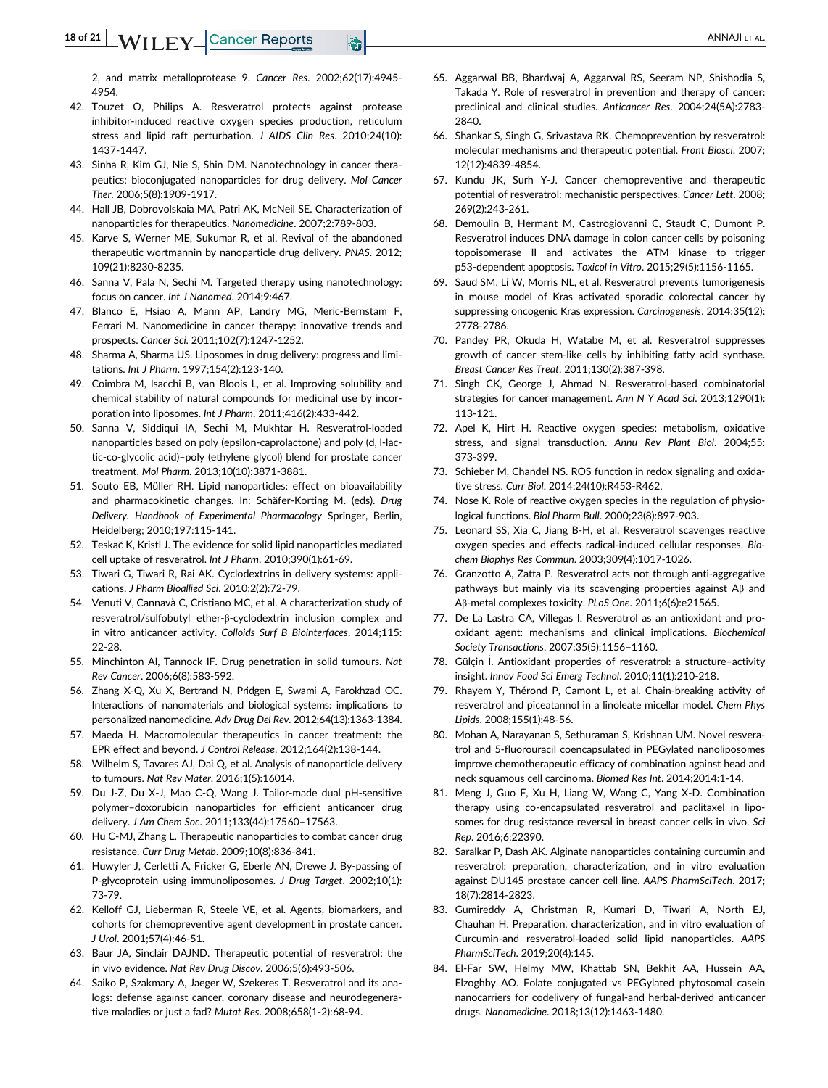2, and matrix metalloprotease 9. Cancer Res. 2002;62(17):4945- 4954.

- 42. Touzet O, Philips A. Resveratrol protects against protease inhibitor-induced reactive oxygen species production, reticulum stress and lipid raft perturbation. J AIDS Clin Res. 2010;24(10): 1437-1447.
- 43. Sinha R, Kim GJ, Nie S, Shin DM. Nanotechnology in cancer therapeutics: bioconjugated nanoparticles for drug delivery. Mol Cancer Ther. 2006;5(8):1909-1917.
- 44. Hall JB, Dobrovolskaia MA, Patri AK, McNeil SE. Characterization of nanoparticles for therapeutics. Nanomedicine. 2007;2:789-803.
- 45. Karve S, Werner ME, Sukumar R, et al. Revival of the abandoned therapeutic wortmannin by nanoparticle drug delivery. PNAS. 2012; 109(21):8230-8235.
- 46. Sanna V, Pala N, Sechi M. Targeted therapy using nanotechnology: focus on cancer. Int J Nanomed. 2014;9:467.
- 47. Blanco E, Hsiao A, Mann AP, Landry MG, Meric-Bernstam F, Ferrari M. Nanomedicine in cancer therapy: innovative trends and prospects. Cancer Sci. 2011;102(7):1247-1252.
- 48. Sharma A, Sharma US. Liposomes in drug delivery: progress and limitations. Int J Pharm. 1997;154(2):123-140.
- 49. Coimbra M, Isacchi B, van Bloois L, et al. Improving solubility and chemical stability of natural compounds for medicinal use by incorporation into liposomes. Int J Pharm. 2011;416(2):433-442.
- 50. Sanna V, Siddiqui IA, Sechi M, Mukhtar H. Resveratrol-loaded nanoparticles based on poly (epsilon-caprolactone) and poly (d, l-lactic-co-glycolic acid)–poly (ethylene glycol) blend for prostate cancer treatment. Mol Pharm. 2013;10(10):3871-3881.
- 51. Souto EB, Müller RH. Lipid nanoparticles: effect on bioavailability and pharmacokinetic changes. In: Schäfer-Korting M. (eds). Drug Delivery. Handbook of Experimental Pharmacology Springer, Berlin, Heidelberg; 2010;197:115-141.
- 52. Teskač K, Kristl J. The evidence for solid lipid nanoparticles mediated cell uptake of resveratrol. Int J Pharm. 2010;390(1):61-69.
- 53. Tiwari G, Tiwari R, Rai AK. Cyclodextrins in delivery systems: applications. J Pharm Bioallied Sci. 2010;2(2):72-79.
- 54. Venuti V, Cannavà C, Cristiano MC, et al. A characterization study of resveratrol/sulfobutyl ether-β-cyclodextrin inclusion complex and in vitro anticancer activity. Colloids Surf B Biointerfaces. 2014;115: 22-28.
- 55. Minchinton AI, Tannock IF. Drug penetration in solid tumours. Nat Rev Cancer. 2006;6(8):583-592.
- 56. Zhang X-Q, Xu X, Bertrand N, Pridgen E, Swami A, Farokhzad OC. Interactions of nanomaterials and biological systems: implications to personalized nanomedicine. Adv Drug Del Rev. 2012;64(13):1363-1384.
- 57. Maeda H. Macromolecular therapeutics in cancer treatment: the EPR effect and beyond. J Control Release. 2012;164(2):138-144.
- 58. Wilhelm S, Tavares AJ, Dai Q, et al. Analysis of nanoparticle delivery to tumours. Nat Rev Mater. 2016;1(5):16014.
- 59. Du J-Z, Du X-J, Mao C-Q, Wang J. Tailor-made dual pH-sensitive polymer–doxorubicin nanoparticles for efficient anticancer drug delivery. J Am Chem Soc. 2011;133(44):17560–17563.
- 60. Hu C-MJ, Zhang L. Therapeutic nanoparticles to combat cancer drug resistance. Curr Drug Metab. 2009;10(8):836-841.
- 61. Huwyler J, Cerletti A, Fricker G, Eberle AN, Drewe J. By-passing of P-glycoprotein using immunoliposomes. J Drug Target. 2002;10(1): 73-79.
- 62. Kelloff GJ, Lieberman R, Steele VE, et al. Agents, biomarkers, and cohorts for chemopreventive agent development in prostate cancer. J Urol. 2001;57(4):46-51.
- 63. Baur JA, Sinclair DAJND. Therapeutic potential of resveratrol: the in vivo evidence. Nat Rev Drug Discov. 2006;5(6):493-506.
- 64. Saiko P, Szakmary A, Jaeger W, Szekeres T. Resveratrol and its analogs: defense against cancer, coronary disease and neurodegenerative maladies or just a fad? Mutat Res. 2008;658(1-2):68-94.
- 65. Aggarwal BB, Bhardwaj A, Aggarwal RS, Seeram NP, Shishodia S, Takada Y. Role of resveratrol in prevention and therapy of cancer: preclinical and clinical studies. Anticancer Res. 2004;24(5A):2783- 2840.
- 66. Shankar S, Singh G, Srivastava RK. Chemoprevention by resveratrol: molecular mechanisms and therapeutic potential. Front Biosci. 2007; 12(12):4839-4854.
- 67. Kundu JK, Surh Y-J. Cancer chemopreventive and therapeutic potential of resveratrol: mechanistic perspectives. Cancer Lett. 2008; 269(2):243-261.
- 68. Demoulin B, Hermant M, Castrogiovanni C, Staudt C, Dumont P. Resveratrol induces DNA damage in colon cancer cells by poisoning topoisomerase II and activates the ATM kinase to trigger p53-dependent apoptosis. Toxicol in Vitro. 2015;29(5):1156-1165.
- 69. Saud SM, Li W, Morris NL, et al. Resveratrol prevents tumorigenesis in mouse model of Kras activated sporadic colorectal cancer by suppressing oncogenic Kras expression. Carcinogenesis. 2014;35(12): 2778-2786.
- 70. Pandey PR, Okuda H, Watabe M, et al. Resveratrol suppresses growth of cancer stem-like cells by inhibiting fatty acid synthase. Breast Cancer Res Treat. 2011;130(2):387-398.
- 71. Singh CK, George J, Ahmad N. Resveratrol-based combinatorial strategies for cancer management. Ann N Y Acad Sci. 2013;1290(1): 113-121.
- 72. Apel K, Hirt H. Reactive oxygen species: metabolism, oxidative stress, and signal transduction. Annu Rev Plant Biol. 2004;55: 373-399.
- 73. Schieber M, Chandel NS. ROS function in redox signaling and oxidative stress. Curr Biol. 2014;24(10):R453-R462.
- 74. Nose K. Role of reactive oxygen species in the regulation of physiological functions. Biol Pharm Bull. 2000;23(8):897-903.
- 75. Leonard SS, Xia C, Jiang B-H, et al. Resveratrol scavenges reactive oxygen species and effects radical-induced cellular responses. Biochem Biophys Res Commun. 2003;309(4):1017-1026.
- 76. Granzotto A, Zatta P. Resveratrol acts not through anti-aggregative pathways but mainly via its scavenging properties against Aβ and Aβ-metal complexes toxicity. PLoS One. 2011;6(6):e21565.
- 77. De La Lastra CA, Villegas I. Resveratrol as an antioxidant and prooxidant agent: mechanisms and clinical implications. Biochemical Society Transactions. 2007;35(5):1156–1160.
- 78. Gülçin İ. Antioxidant properties of resveratrol: a structure-activity insight. Innov Food Sci Emerg Technol. 2010;11(1):210-218.
- 79. Rhayem Y, Thérond P, Camont L, et al. Chain-breaking activity of resveratrol and piceatannol in a linoleate micellar model. Chem Phys Lipids. 2008;155(1):48-56.
- 80. Mohan A, Narayanan S, Sethuraman S, Krishnan UM. Novel resveratrol and 5-fluorouracil coencapsulated in PEGylated nanoliposomes improve chemotherapeutic efficacy of combination against head and neck squamous cell carcinoma. Biomed Res Int. 2014;2014:1-14.
- 81. Meng J, Guo F, Xu H, Liang W, Wang C, Yang X-D. Combination therapy using co-encapsulated resveratrol and paclitaxel in liposomes for drug resistance reversal in breast cancer cells in vivo. Sci Rep. 2016;6:22390.
- 82. Saralkar P, Dash AK. Alginate nanoparticles containing curcumin and resveratrol: preparation, characterization, and in vitro evaluation against DU145 prostate cancer cell line. AAPS PharmSciTech. 2017; 18(7):2814-2823.
- 83. Gumireddy A, Christman R, Kumari D, Tiwari A, North EJ, Chauhan H. Preparation, characterization, and in vitro evaluation of Curcumin-and resveratrol-loaded solid lipid nanoparticles. AAPS PharmSciTech. 2019;20(4):145.
- 84. El-Far SW, Helmy MW, Khattab SN, Bekhit AA, Hussein AA, Elzoghby AO. Folate conjugated vs PEGylated phytosomal casein nanocarriers for codelivery of fungal-and herbal-derived anticancer drugs. Nanomedicine. 2018;13(12):1463-1480.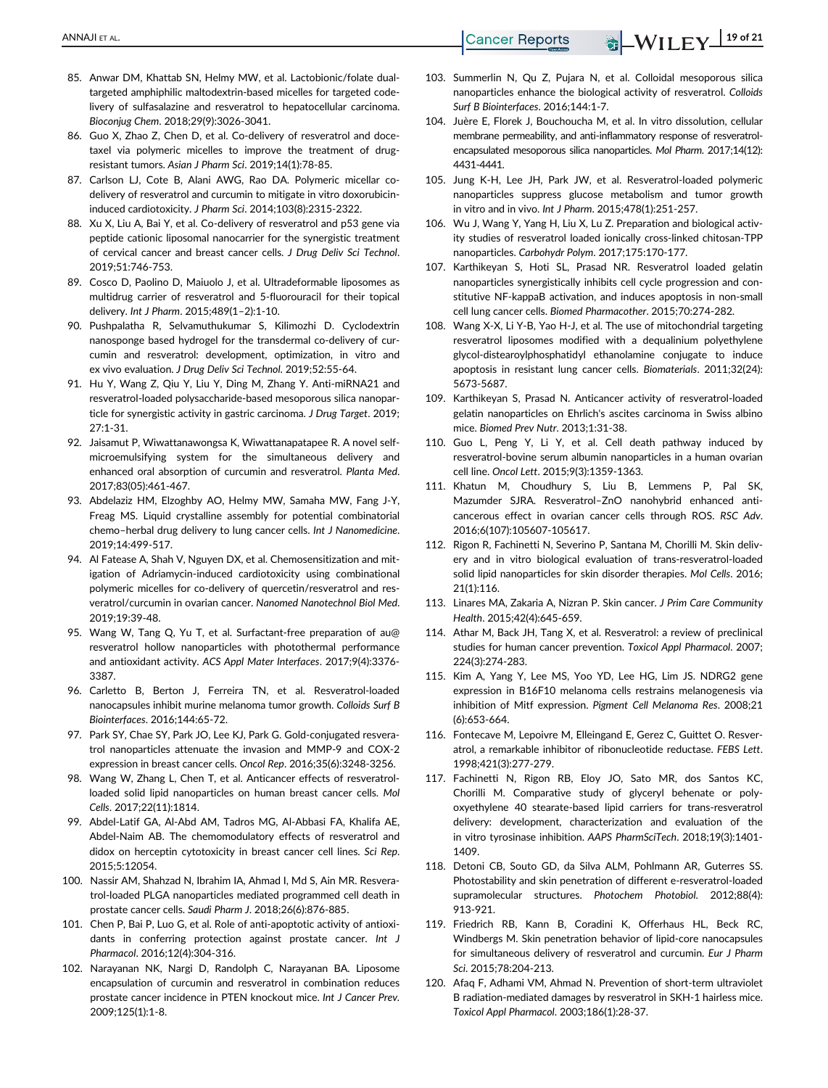- 85. Anwar DM, Khattab SN, Helmy MW, et al. Lactobionic/folate dualtargeted amphiphilic maltodextrin-based micelles for targeted codelivery of sulfasalazine and resveratrol to hepatocellular carcinoma. Bioconjug Chem. 2018;29(9):3026-3041.
- 86. Guo X, Zhao Z, Chen D, et al. Co-delivery of resveratrol and docetaxel via polymeric micelles to improve the treatment of drugresistant tumors. Asian J Pharm Sci. 2019;14(1):78-85.
- 87. Carlson LJ, Cote B, Alani AWG, Rao DA. Polymeric micellar codelivery of resveratrol and curcumin to mitigate in vitro doxorubicininduced cardiotoxicity. J Pharm Sci. 2014;103(8):2315-2322.
- 88. Xu X, Liu A, Bai Y, et al. Co-delivery of resveratrol and p53 gene via peptide cationic liposomal nanocarrier for the synergistic treatment of cervical cancer and breast cancer cells. J Drug Deliv Sci Technol. 2019;51:746-753.
- 89. Cosco D, Paolino D, Maiuolo J, et al. Ultradeformable liposomes as multidrug carrier of resveratrol and 5-fluorouracil for their topical delivery. Int J Pharm. 2015;489(1–2):1-10.
- 90. Pushpalatha R, Selvamuthukumar S, Kilimozhi D. Cyclodextrin nanosponge based hydrogel for the transdermal co-delivery of curcumin and resveratrol: development, optimization, in vitro and ex vivo evaluation. J Drug Deliv Sci Technol. 2019;52:55-64.
- 91. Hu Y, Wang Z, Qiu Y, Liu Y, Ding M, Zhang Y. Anti-miRNA21 and resveratrol-loaded polysaccharide-based mesoporous silica nanoparticle for synergistic activity in gastric carcinoma. J Drug Target. 2019; 27:1-31.
- 92. Jaisamut P, Wiwattanawongsa K, Wiwattanapatapee R. A novel selfmicroemulsifying system for the simultaneous delivery and enhanced oral absorption of curcumin and resveratrol. Planta Med. 2017;83(05):461-467.
- 93. Abdelaziz HM, Elzoghby AO, Helmy MW, Samaha MW, Fang J-Y, Freag MS. Liquid crystalline assembly for potential combinatorial chemo–herbal drug delivery to lung cancer cells. Int J Nanomedicine. 2019;14:499-517.
- 94. Al Fatease A, Shah V, Nguyen DX, et al. Chemosensitization and mitigation of Adriamycin-induced cardiotoxicity using combinational polymeric micelles for co-delivery of quercetin/resveratrol and resveratrol/curcumin in ovarian cancer. Nanomed Nanotechnol Biol Med. 2019;19:39-48.
- 95. Wang W, Tang Q, Yu T, et al. Surfactant-free preparation of au@ resveratrol hollow nanoparticles with photothermal performance and antioxidant activity. ACS Appl Mater Interfaces. 2017;9(4):3376- 3387.
- 96. Carletto B, Berton J, Ferreira TN, et al. Resveratrol-loaded nanocapsules inhibit murine melanoma tumor growth. Colloids Surf B Biointerfaces. 2016;144:65-72.
- 97. Park SY, Chae SY, Park JO, Lee KJ, Park G. Gold-conjugated resveratrol nanoparticles attenuate the invasion and MMP-9 and COX-2 expression in breast cancer cells. Oncol Rep. 2016;35(6):3248-3256.
- 98. Wang W, Zhang L, Chen T, et al. Anticancer effects of resveratrolloaded solid lipid nanoparticles on human breast cancer cells. Mol Cells. 2017;22(11):1814.
- 99. Abdel-Latif GA, Al-Abd AM, Tadros MG, Al-Abbasi FA, Khalifa AE, Abdel-Naim AB. The chemomodulatory effects of resveratrol and didox on herceptin cytotoxicity in breast cancer cell lines. Sci Rep. 2015;5:12054.
- 100. Nassir AM, Shahzad N, Ibrahim IA, Ahmad I, Md S, Ain MR. Resveratrol-loaded PLGA nanoparticles mediated programmed cell death in prostate cancer cells. Saudi Pharm J. 2018;26(6):876-885.
- 101. Chen P, Bai P, Luo G, et al. Role of anti-apoptotic activity of antioxidants in conferring protection against prostate cancer. Int J Pharmacol. 2016;12(4):304-316.
- 102. Narayanan NK, Nargi D, Randolph C, Narayanan BA. Liposome encapsulation of curcumin and resveratrol in combination reduces prostate cancer incidence in PTEN knockout mice. Int J Cancer Prev. 2009;125(1):1-8.
- 103. Summerlin N, Qu Z, Pujara N, et al. Colloidal mesoporous silica nanoparticles enhance the biological activity of resveratrol. Colloids Surf B Biointerfaces. 2016;144:1-7.
- 104. Juère E, Florek J, Bouchoucha M, et al. In vitro dissolution, cellular membrane permeability, and anti-inflammatory response of resveratrolencapsulated mesoporous silica nanoparticles. Mol Pharm. 2017;14(12): 4431-4441.
- 105. Jung K-H, Lee JH, Park JW, et al. Resveratrol-loaded polymeric nanoparticles suppress glucose metabolism and tumor growth in vitro and in vivo. Int J Pharm. 2015;478(1):251-257.
- 106. Wu J, Wang Y, Yang H, Liu X, Lu Z. Preparation and biological activity studies of resveratrol loaded ionically cross-linked chitosan-TPP nanoparticles. Carbohydr Polym. 2017;175:170-177.
- 107. Karthikeyan S, Hoti SL, Prasad NR. Resveratrol loaded gelatin nanoparticles synergistically inhibits cell cycle progression and constitutive NF-kappaB activation, and induces apoptosis in non-small cell lung cancer cells. Biomed Pharmacother. 2015;70:274-282.
- 108. Wang X-X, Li Y-B, Yao H-J, et al. The use of mitochondrial targeting resveratrol liposomes modified with a dequalinium polyethylene glycol-distearoylphosphatidyl ethanolamine conjugate to induce apoptosis in resistant lung cancer cells. Biomaterials. 2011;32(24): 5673-5687.
- 109. Karthikeyan S, Prasad N. Anticancer activity of resveratrol-loaded gelatin nanoparticles on Ehrlich's ascites carcinoma in Swiss albino mice. Biomed Prev Nutr. 2013;1:31-38.
- 110. Guo L, Peng Y, Li Y, et al. Cell death pathway induced by resveratrol-bovine serum albumin nanoparticles in a human ovarian cell line. Oncol Lett. 2015;9(3):1359-1363.
- 111. Khatun M, Choudhury S, Liu B, Lemmens P, Pal SK, Mazumder SJRA. Resveratrol–ZnO nanohybrid enhanced anticancerous effect in ovarian cancer cells through ROS. RSC Adv. 2016;6(107):105607-105617.
- 112. Rigon R, Fachinetti N, Severino P, Santana M, Chorilli M. Skin delivery and in vitro biological evaluation of trans-resveratrol-loaded solid lipid nanoparticles for skin disorder therapies. Mol Cells. 2016; 21(1):116.
- 113. Linares MA, Zakaria A, Nizran P. Skin cancer. J Prim Care Community Health. 2015;42(4):645-659.
- 114. Athar M, Back JH, Tang X, et al. Resveratrol: a review of preclinical studies for human cancer prevention. Toxicol Appl Pharmacol. 2007; 224(3):274-283.
- 115. Kim A, Yang Y, Lee MS, Yoo YD, Lee HG, Lim JS. NDRG2 gene expression in B16F10 melanoma cells restrains melanogenesis via inhibition of Mitf expression. Pigment Cell Melanoma Res. 2008;21 (6):653-664.
- 116. Fontecave M, Lepoivre M, Elleingand E, Gerez C, Guittet O. Resveratrol, a remarkable inhibitor of ribonucleotide reductase. FEBS Lett. 1998;421(3):277-279.
- 117. Fachinetti N, Rigon RB, Eloy JO, Sato MR, dos Santos KC, Chorilli M. Comparative study of glyceryl behenate or polyoxyethylene 40 stearate-based lipid carriers for trans-resveratrol delivery: development, characterization and evaluation of the in vitro tyrosinase inhibition. AAPS PharmSciTech. 2018;19(3):1401- 1409.
- 118. Detoni CB, Souto GD, da Silva ALM, Pohlmann AR, Guterres SS. Photostability and skin penetration of different e-resveratrol-loaded supramolecular structures. Photochem Photobiol. 2012;88(4): 913-921.
- 119. Friedrich RB, Kann B, Coradini K, Offerhaus HL, Beck RC, Windbergs M. Skin penetration behavior of lipid-core nanocapsules for simultaneous delivery of resveratrol and curcumin. Eur J Pharm Sci. 2015;78:204-213.
- 120. Afaq F, Adhami VM, Ahmad N. Prevention of short-term ultraviolet B radiation-mediated damages by resveratrol in SKH-1 hairless mice. Toxicol Appl Pharmacol. 2003;186(1):28-37.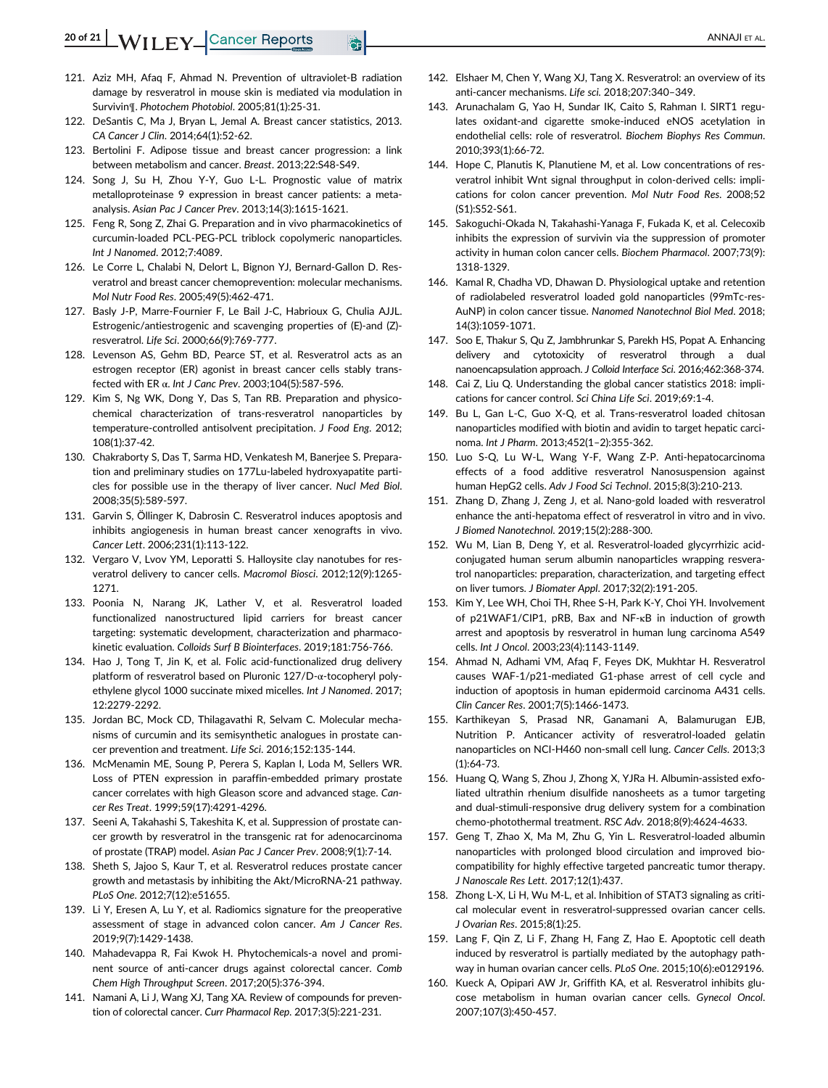- 121. Aziz MH, Afaq F, Ahmad N. Prevention of ultraviolet-B radiation damage by resveratrol in mouse skin is mediated via modulation in
- Survivin¶. Photochem Photobiol. 2005;81(1):25-31. 122. DeSantis C, Ma J, Bryan L, Jemal A. Breast cancer statistics, 2013. CA Cancer J Clin. 2014;64(1):52-62.
- 123. Bertolini F. Adipose tissue and breast cancer progression: a link between metabolism and cancer. Breast. 2013;22:S48-S49.
- 124. Song J, Su H, Zhou Y-Y, Guo L-L. Prognostic value of matrix metalloproteinase 9 expression in breast cancer patients: a metaanalysis. Asian Pac J Cancer Prev. 2013;14(3):1615-1621.
- 125. Feng R, Song Z, Zhai G. Preparation and in vivo pharmacokinetics of curcumin-loaded PCL-PEG-PCL triblock copolymeric nanoparticles. Int J Nanomed. 2012;7:4089.
- 126. Le Corre L, Chalabi N, Delort L, Bignon YJ, Bernard-Gallon D. Resveratrol and breast cancer chemoprevention: molecular mechanisms. Mol Nutr Food Res. 2005;49(5):462-471.
- 127. Basly J-P, Marre-Fournier F, Le Bail J-C, Habrioux G, Chulia AJJL. Estrogenic/antiestrogenic and scavenging properties of (E)-and (Z) resveratrol. Life Sci. 2000;66(9):769-777.
- 128. Levenson AS, Gehm BD, Pearce ST, et al. Resveratrol acts as an estrogen receptor (ER) agonist in breast cancer cells stably transfected with ER α. Int J Canc Prev. 2003;104(5):587-596.
- 129. Kim S, Ng WK, Dong Y, Das S, Tan RB. Preparation and physicochemical characterization of trans-resveratrol nanoparticles by temperature-controlled antisolvent precipitation. J Food Eng. 2012; 108(1):37-42.
- 130. Chakraborty S, Das T, Sarma HD, Venkatesh M, Banerjee S. Preparation and preliminary studies on 177Lu-labeled hydroxyapatite particles for possible use in the therapy of liver cancer. Nucl Med Biol. 2008;35(5):589-597.
- 131. Garvin S, Öllinger K, Dabrosin C. Resveratrol induces apoptosis and inhibits angiogenesis in human breast cancer xenografts in vivo. Cancer Lett. 2006;231(1):113-122.
- 132. Vergaro V, Lvov YM, Leporatti S. Halloysite clay nanotubes for resveratrol delivery to cancer cells. Macromol Biosci. 2012;12(9):1265- 1271.
- 133. Poonia N, Narang JK, Lather V, et al. Resveratrol loaded functionalized nanostructured lipid carriers for breast cancer targeting: systematic development, characterization and pharmacokinetic evaluation. Colloids Surf B Biointerfaces. 2019;181:756-766.
- 134. Hao J, Tong T, Jin K, et al. Folic acid-functionalized drug delivery platform of resveratrol based on Pluronic 127/D-α-tocopheryl polyethylene glycol 1000 succinate mixed micelles. Int J Nanomed. 2017; 12:2279-2292.
- 135. Jordan BC, Mock CD, Thilagavathi R, Selvam C. Molecular mechanisms of curcumin and its semisynthetic analogues in prostate cancer prevention and treatment. Life Sci. 2016;152:135-144.
- 136. McMenamin ME, Soung P, Perera S, Kaplan I, Loda M, Sellers WR. Loss of PTEN expression in paraffin-embedded primary prostate cancer correlates with high Gleason score and advanced stage. Cancer Res Treat. 1999;59(17):4291-4296.
- 137. Seeni A, Takahashi S, Takeshita K, et al. Suppression of prostate cancer growth by resveratrol in the transgenic rat for adenocarcinoma of prostate (TRAP) model. Asian Pac J Cancer Prev. 2008;9(1):7-14.
- 138. Sheth S, Jajoo S, Kaur T, et al. Resveratrol reduces prostate cancer growth and metastasis by inhibiting the Akt/MicroRNA-21 pathway. PLoS One. 2012;7(12):e51655.
- 139. Li Y, Eresen A, Lu Y, et al. Radiomics signature for the preoperative assessment of stage in advanced colon cancer. Am J Cancer Res. 2019;9(7):1429-1438.
- 140. Mahadevappa R, Fai Kwok H. Phytochemicals-a novel and prominent source of anti-cancer drugs against colorectal cancer. Comb Chem High Throughput Screen. 2017;20(5):376-394.
- 141. Namani A, Li J, Wang XJ, Tang XA. Review of compounds for prevention of colorectal cancer. Curr Pharmacol Rep. 2017;3(5):221-231.
- 142. Elshaer M, Chen Y, Wang XJ, Tang X. Resveratrol: an overview of its anti-cancer mechanisms. Life sci. 2018;207:340–349.
- 143. Arunachalam G, Yao H, Sundar IK, Caito S, Rahman I. SIRT1 regulates oxidant-and cigarette smoke-induced eNOS acetylation in endothelial cells: role of resveratrol. Biochem Biophys Res Commun. 2010;393(1):66-72.
- 144. Hope C, Planutis K, Planutiene M, et al. Low concentrations of resveratrol inhibit Wnt signal throughput in colon-derived cells: implications for colon cancer prevention. Mol Nutr Food Res. 2008;52 (S1):S52-S61.
- 145. Sakoguchi-Okada N, Takahashi-Yanaga F, Fukada K, et al. Celecoxib inhibits the expression of survivin via the suppression of promoter activity in human colon cancer cells. Biochem Pharmacol. 2007;73(9): 1318-1329.
- 146. Kamal R, Chadha VD, Dhawan D. Physiological uptake and retention of radiolabeled resveratrol loaded gold nanoparticles (99mTc-res-AuNP) in colon cancer tissue. Nanomed Nanotechnol Biol Med. 2018; 14(3):1059-1071.
- 147. Soo E, Thakur S, Qu Z, Jambhrunkar S, Parekh HS, Popat A. Enhancing delivery and cytotoxicity of resveratrol through a dual nanoencapsulation approach. J Colloid Interface Sci. 2016;462:368-374.
- 148. Cai Z, Liu Q. Understanding the global cancer statistics 2018: implications for cancer control. Sci China Life Sci. 2019;69:1-4.
- 149. Bu L, Gan L-C, Guo X-Q, et al. Trans-resveratrol loaded chitosan nanoparticles modified with biotin and avidin to target hepatic carcinoma. Int J Pharm. 2013;452(1–2):355-362.
- 150. Luo S-Q, Lu W-L, Wang Y-F, Wang Z-P. Anti-hepatocarcinoma effects of a food additive resveratrol Nanosuspension against human HepG2 cells. Adv J Food Sci Technol. 2015;8(3):210-213.
- 151. Zhang D, Zhang J, Zeng J, et al. Nano-gold loaded with resveratrol enhance the anti-hepatoma effect of resveratrol in vitro and in vivo. J Biomed Nanotechnol. 2019;15(2):288-300.
- 152. Wu M, Lian B, Deng Y, et al. Resveratrol-loaded glycyrrhizic acidconjugated human serum albumin nanoparticles wrapping resveratrol nanoparticles: preparation, characterization, and targeting effect on liver tumors. J Biomater Appl. 2017;32(2):191-205.
- 153. Kim Y, Lee WH, Choi TH, Rhee S-H, Park K-Y, Choi YH. Involvement of p21WAF1/CIP1, pRB, Bax and NF-κB in induction of growth arrest and apoptosis by resveratrol in human lung carcinoma A549 cells. Int J Oncol. 2003;23(4):1143-1149.
- 154. Ahmad N, Adhami VM, Afaq F, Feyes DK, Mukhtar H. Resveratrol causes WAF-1/p21-mediated G1-phase arrest of cell cycle and induction of apoptosis in human epidermoid carcinoma A431 cells. Clin Cancer Res. 2001;7(5):1466-1473.
- 155. Karthikeyan S, Prasad NR, Ganamani A, Balamurugan EJB, Nutrition P. Anticancer activity of resveratrol-loaded gelatin nanoparticles on NCI-H460 non-small cell lung. Cancer Cells. 2013;3 (1):64-73.
- 156. Huang Q, Wang S, Zhou J, Zhong X, YJRa H. Albumin-assisted exfoliated ultrathin rhenium disulfide nanosheets as a tumor targeting and dual-stimuli-responsive drug delivery system for a combination chemo-photothermal treatment. RSC Adv. 2018;8(9):4624-4633.
- 157. Geng T, Zhao X, Ma M, Zhu G, Yin L. Resveratrol-loaded albumin nanoparticles with prolonged blood circulation and improved biocompatibility for highly effective targeted pancreatic tumor therapy. J Nanoscale Res Lett. 2017;12(1):437.
- 158. Zhong L-X, Li H, Wu M-L, et al. Inhibition of STAT3 signaling as critical molecular event in resveratrol-suppressed ovarian cancer cells. J Ovarian Res. 2015;8(1):25.
- 159. Lang F, Qin Z, Li F, Zhang H, Fang Z, Hao E. Apoptotic cell death induced by resveratrol is partially mediated by the autophagy pathway in human ovarian cancer cells. PLoS One. 2015;10(6):e0129196.
- 160. Kueck A, Opipari AW Jr, Griffith KA, et al. Resveratrol inhibits glucose metabolism in human ovarian cancer cells. Gynecol Oncol. 2007;107(3):450-457.